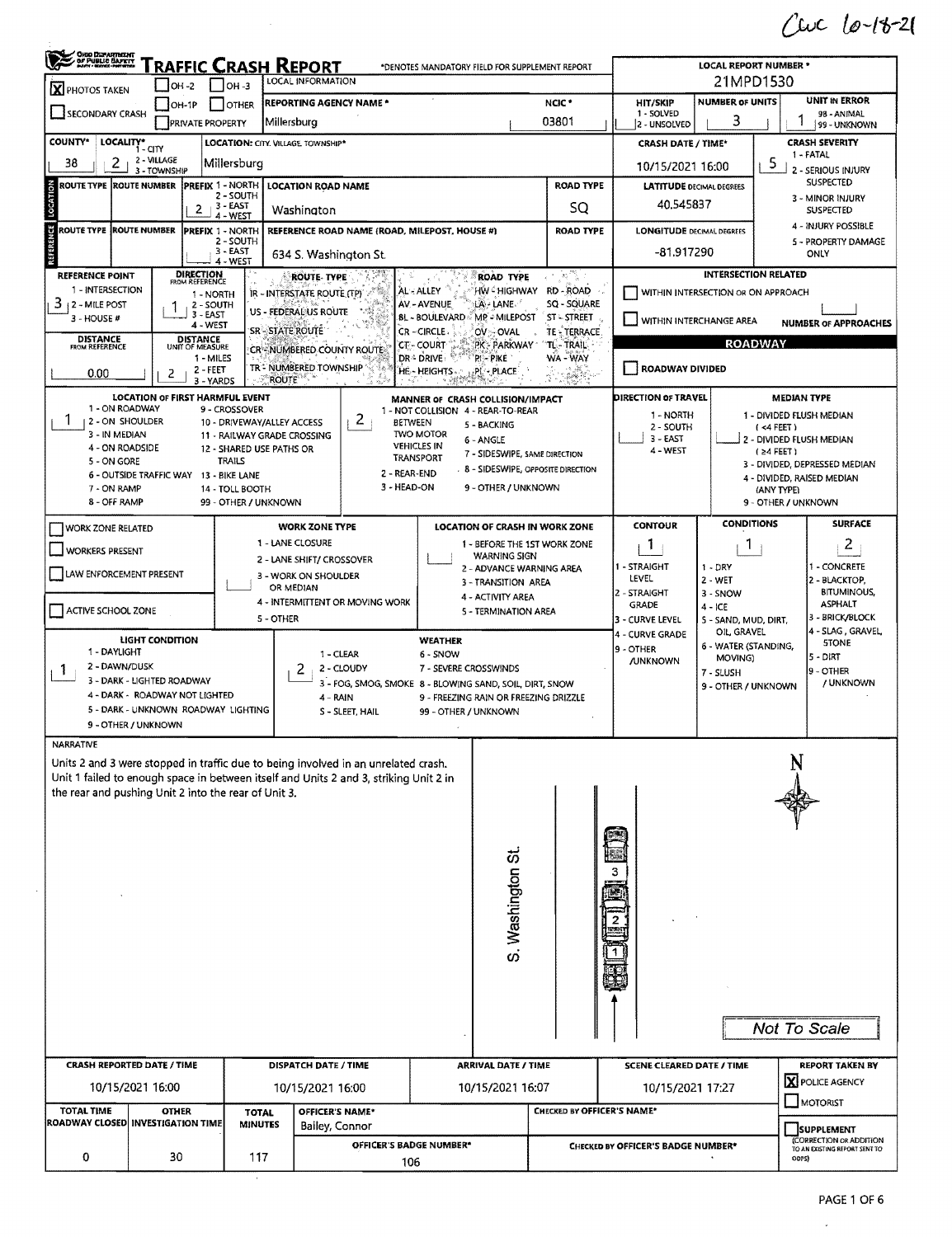Cwc 10-18-21

| SHOO DEPARTMENT<br>RAFFIC CRASH REPORT<br>*DENOTES MANDATORY FIELD FOR SUPPLEMENT REPORT<br>LOCAL INFORMATION<br>OH -2<br><b>ПОН-3</b> |                                                            |                                                 |                                             |                                                                                       |                                                                         |                                 |                                                            | <b>LOCAL REPORT NUMBER *</b><br>21MPD1530 |                                                                                                               |  |  |  |
|----------------------------------------------------------------------------------------------------------------------------------------|------------------------------------------------------------|-------------------------------------------------|---------------------------------------------|---------------------------------------------------------------------------------------|-------------------------------------------------------------------------|---------------------------------|------------------------------------------------------------|-------------------------------------------|---------------------------------------------------------------------------------------------------------------|--|--|--|
| X PHOTOS TAKEN                                                                                                                         | $I$ OH-IP                                                  |                                                 | <b>IOTHER</b>                               | <b>REPORTING AGENCY NAME *</b>                                                        |                                                                         | NCIC <sup>+</sup>               | <b>UNIT IN ERROR</b><br><b>NUMBER OF UNITS</b><br>HIT/SKIP |                                           |                                                                                                               |  |  |  |
| SECONDARY CRASH                                                                                                                        |                                                            | <b>PRIVATE PROPERTY</b>                         |                                             | Millersburg                                                                           |                                                                         | 03801                           | 1 - SOLVED<br>2 - UNSOLVED                                 | з                                         | 98 - ANIMAL<br>99 - UNKNOWN                                                                                   |  |  |  |
| <b>COUNTY*</b><br>LOCALITY*                                                                                                            |                                                            |                                                 |                                             | LOCATION: CITY. VILLAGE. TOWNSHIP*                                                    |                                                                         |                                 | <b>CRASH DATE / TIME*</b>                                  |                                           | <b>CRASH SEVERITY</b>                                                                                         |  |  |  |
| 2<br>38                                                                                                                                | 1 - CITY<br>2 - VILLAGE                                    |                                                 | Millersburg                                 |                                                                                       |                                                                         |                                 |                                                            |                                           | 1-FATAL                                                                                                       |  |  |  |
|                                                                                                                                        | 3 - TOWNSHIP                                               |                                                 |                                             |                                                                                       |                                                                         |                                 | 10/15/2021 16:00                                           | 5                                         | 2 - SERIOUS INJURY<br><b>SUSPECTED</b>                                                                        |  |  |  |
| <b>ROUTE TYPE ROUTE NUMBER</b>                                                                                                         |                                                            | <b>PREFIX 1 - NORTH</b>                         | 2 - SOUTH                                   | <b>LOCATION ROAD NAME</b>                                                             |                                                                         | <b>ROAD TYPE</b>                | <b>LATITUDE DECIMAL DEGREES</b>                            |                                           | 3 - MINOR INJURY                                                                                              |  |  |  |
|                                                                                                                                        |                                                            | <b>3 - EAST</b><br>2                            | $4 - WEST$                                  | Washington                                                                            |                                                                         | SQ                              | 40.545837                                                  |                                           | <b>SUSPECTED</b>                                                                                              |  |  |  |
| <b>ROUTE TYPE ROUTE NUMBER</b>                                                                                                         |                                                            | <b>PREFIX 1 - NORTH</b>                         |                                             | REFERENCE ROAD NAME (ROAD, MILEPOST, HOUSE #)                                         |                                                                         | <b>ROAD TYPE</b>                | <b>LONGITUDE DECIMAL DEGREES</b>                           |                                           | 4 - INJURY POSSIBLE                                                                                           |  |  |  |
|                                                                                                                                        |                                                            |                                                 | 2 - SOUTH<br>$3 - EAST$                     | 634 S. Washington St.                                                                 |                                                                         |                                 | -81.917290                                                 |                                           | 5 - PROPERTY DAMAGE<br>ONLY                                                                                   |  |  |  |
| <b>REFERENCE POINT</b>                                                                                                                 |                                                            |                                                 | 4 - WEST                                    |                                                                                       |                                                                         | - 松岡                            |                                                            | <b>INTERSECTION RELATED</b>               |                                                                                                               |  |  |  |
| 1 - INTERSECTION                                                                                                                       |                                                            | <b>DIRECTION</b><br>FROM REFERENCE<br>1 - NORTH |                                             | <b>ROUTE TYPE</b><br>IR - INTERSTATE ROUTE (TP)                                       | <b>ROAD TYPE</b><br>HŴ - HIGHWAY<br>AL-ALLEY                            | RD - ROAD                       |                                                            | WITHIN INTERSECTION OR ON APPROACH        |                                                                                                               |  |  |  |
| З<br>i 2 - Mile Post                                                                                                                   |                                                            | 2 - SOUTH                                       |                                             | US - FEDERAL US ROUTE                                                                 | AV - AVENUE<br>LA LANE                                                  | SQ - SQUARE                     |                                                            |                                           |                                                                                                               |  |  |  |
| 3 - HOUSE #                                                                                                                            |                                                            | 3 - EAST<br>4 - WEST                            |                                             | SR-STATE ROUTE                                                                        | BL - BOULEVARD « MP + MILEPOST<br>CR-CIRCLE                             | <b>STILSTREET</b>               |                                                            | WITHIN INTERCHANGE AREA                   | <b>NUMBER OF APPROACHES</b>                                                                                   |  |  |  |
| <b>DISTANCE</b><br>FROM REFERENCE                                                                                                      |                                                            | <b>DISTANCE</b><br>UNIT OF MEASURE              |                                             | CR-NUMBERED COUNTY ROUTE                                                              | <b>OV OVAL</b><br><b>CT-COURT</b><br>PK - PARKWAY                       | <b>TE-TERRACE</b><br>TL - TRAIL |                                                            | <b>ROADWAY</b>                            |                                                                                                               |  |  |  |
|                                                                                                                                        |                                                            | 1 - MILES                                       |                                             | TR - NUMBERED TOWNSHIP                                                                | DR-DRIVE<br>`RI`~`PIKE                                                  | WA - WAY                        |                                                            |                                           |                                                                                                               |  |  |  |
| 0.00                                                                                                                                   | 2                                                          | $2 - FEET$<br>3 - YARDS                         |                                             | <b>ROUTE</b>                                                                          | HE-HEIGHTS<br>PL - PLACE                                                |                                 | <b>ROADWAY DIVIDED</b>                                     |                                           |                                                                                                               |  |  |  |
|                                                                                                                                        | <b>LOCATION OF FIRST HARMFUL EVENT</b>                     |                                                 |                                             |                                                                                       | MANNER OF CRASH COLLISION/IMPACT                                        |                                 | <b>DIRECTION OF TRAVEL</b>                                 |                                           | <b>MEDIAN TYPE</b>                                                                                            |  |  |  |
| 1 - ON ROADWAY<br>2 - ON SHOULDER                                                                                                      |                                                            |                                                 | 9 - CROSSOVER<br>10 - DRIVEWAY/ALLEY ACCESS | 2<br><b>BETWEEN</b>                                                                   | 1 - NOT COLLISION 4 - REAR-TO-REAR                                      |                                 | 1 - NORTH                                                  |                                           | 1 - DIVIDED FLUSH MEDIAN                                                                                      |  |  |  |
| 3 - IN MEDIAN                                                                                                                          |                                                            |                                                 |                                             | 11 - RAILWAY GRADE CROSSING                                                           | 5 - BACKING<br><b>TWO MOTOR</b><br>6 - ANGLE                            |                                 | 2 - SOUTH<br>3 - EAST                                      |                                           | $(4$ FEET)<br>2 - DIVIDED FLUSH MEDIAN                                                                        |  |  |  |
| 4 - ON ROADSIDE                                                                                                                        |                                                            |                                                 | 12 - SHARED USE PATHS OR                    |                                                                                       | <b>VEHICLES IN</b><br>7 - SIDESWIPE, SAME DIRECTION<br><b>TRANSPORT</b> |                                 | 4 - WEST                                                   |                                           | $(24$ FEET)                                                                                                   |  |  |  |
| 5 - ON GORE                                                                                                                            | 6 - OUTSIDE TRAFFIC WAY 13 - BIKE LANE                     |                                                 | <b>TRAILS</b>                               | 2 - REAR-END                                                                          | 8 - SIDESWIPE, OPPOSITE DIRECTION                                       |                                 |                                                            |                                           | 3 - DIVIDED, DEPRESSED MEDIAN<br>4 - DIVIDED, RAISED MEDIAN                                                   |  |  |  |
| 7 - ON RAMP                                                                                                                            |                                                            |                                                 | 14 - TOLL BOOTH                             | 3 - HEAD-ON                                                                           | 9 - OTHER / UNKNOWN                                                     |                                 |                                                            |                                           | (ANY TYPE)                                                                                                    |  |  |  |
| 8 - OFF RAMP                                                                                                                           |                                                            |                                                 | 99 - OTHER / UNKNOWN                        |                                                                                       |                                                                         |                                 |                                                            |                                           | 9 - OTHER / UNKNOWN                                                                                           |  |  |  |
| <b>WORK ZONE RELATED</b>                                                                                                               |                                                            |                                                 |                                             | <b>WORK ZONE TYPE</b>                                                                 | LOCATION OF CRASH IN WORK ZONE                                          |                                 | <b>CONTOUR</b>                                             | <b>CONDITIONS</b>                         | <b>SURFACE</b>                                                                                                |  |  |  |
| WORKERS PRESENT                                                                                                                        |                                                            |                                                 |                                             | 1 - LANE CLOSURE                                                                      | 1 - BEFORE THE 1ST WORK ZONE<br><b>WARNING SIGN</b>                     |                                 | Л.                                                         | 1.                                        | 2                                                                                                             |  |  |  |
| LAW ENFORCEMENT PRESENT                                                                                                                |                                                            |                                                 |                                             | 2 - LANE SHIFT/ CROSSOVER                                                             | 2 - ADVANCE WARNING AREA                                                |                                 | 1 - STRAIGHT                                               | 1 - DRY                                   | - CONCRETE                                                                                                    |  |  |  |
|                                                                                                                                        |                                                            |                                                 |                                             | 3 - WORK ON SHOULDER<br>OR MEDIAN                                                     | 3 - TRANSITION AREA                                                     |                                 | LEVEL<br>2 - STRAIGHT                                      | 2 - WET<br>3 - SNOW                       | 2 - BLACKTOP,<br><b>BITUMINOUS,</b>                                                                           |  |  |  |
| ACTIVE SCHOOL ZONE                                                                                                                     |                                                            |                                                 |                                             | 4 - INTERMITTENT OR MOVING WORK                                                       | 4 - ACTIVITY AREA<br>5 - TERMINATION AREA                               |                                 | GRADE                                                      | $4 - ICE$                                 | ASPHALT                                                                                                       |  |  |  |
|                                                                                                                                        |                                                            |                                                 | 5 - OTHER                                   |                                                                                       |                                                                         |                                 | 3 - CURVE LEVEL                                            | 5 - SAND, MUD, DIRT,<br>OIL, GRAVEL       | 3 - BRICK/BLOCK<br>4 - SLAG, GRAVEL,                                                                          |  |  |  |
|                                                                                                                                        | <b>LIGHT CONDITION</b>                                     |                                                 |                                             |                                                                                       | <b>WEATHER</b>                                                          |                                 | 4 - CURVE GRADE<br>9 - OTHER                               | 6 - WATER (STANDING,                      | <b>STONE</b>                                                                                                  |  |  |  |
| 1 - DAYLIGHT<br>2 - DAWN/DUSK                                                                                                          |                                                            |                                                 |                                             | 1 - CLEAR<br>2<br>2 - CLOUDY                                                          | 6 - SNOW<br>7 - SEVERE CROSSWINDS                                       |                                 | <b>/UNKNOWN</b>                                            | <b>MOVING)</b>                            | 5 - DIRT                                                                                                      |  |  |  |
| 1                                                                                                                                      | 3 - DARK - LIGHTED ROADWAY                                 |                                                 |                                             |                                                                                       | 3 - FOG, SMOG, SMOKE 8 - BLOWING SAND, SOIL, DIRT, SNOW                 |                                 |                                                            | 7 - SLUSH<br>9 - OTHER / UNKNOWN          | 19 - OTHER<br>/ UNKNOWN                                                                                       |  |  |  |
|                                                                                                                                        | 4 - DARK - ROADWAY NOT LIGHTED                             |                                                 |                                             | 4 - RAIN                                                                              | 9 - FREEZING RAIN OR FREEZING DRIZZLE                                   |                                 |                                                            |                                           |                                                                                                               |  |  |  |
|                                                                                                                                        | 5 - DARK - UNKNOWN ROADWAY LIGHTING<br>9 - OTHER / UNKNOWN |                                                 |                                             | S - SLEET, HAIL                                                                       | 99 - OTHER / UNKNOWN                                                    |                                 |                                                            |                                           |                                                                                                               |  |  |  |
| <b>NARRATIVE</b>                                                                                                                       |                                                            |                                                 |                                             |                                                                                       |                                                                         |                                 |                                                            |                                           |                                                                                                               |  |  |  |
|                                                                                                                                        |                                                            |                                                 |                                             | Units 2 and 3 were stopped in traffic due to being involved in an unrelated crash.    |                                                                         |                                 |                                                            |                                           |                                                                                                               |  |  |  |
|                                                                                                                                        |                                                            |                                                 |                                             |                                                                                       |                                                                         |                                 |                                                            |                                           |                                                                                                               |  |  |  |
|                                                                                                                                        |                                                            |                                                 |                                             | Unit 1 failed to enough space in between itself and Units 2 and 3, striking Unit 2 in |                                                                         |                                 |                                                            |                                           |                                                                                                               |  |  |  |
|                                                                                                                                        |                                                            |                                                 |                                             |                                                                                       |                                                                         |                                 |                                                            |                                           |                                                                                                               |  |  |  |
|                                                                                                                                        |                                                            |                                                 |                                             |                                                                                       |                                                                         |                                 |                                                            |                                           |                                                                                                               |  |  |  |
|                                                                                                                                        |                                                            |                                                 |                                             |                                                                                       |                                                                         |                                 |                                                            |                                           |                                                                                                               |  |  |  |
|                                                                                                                                        |                                                            |                                                 |                                             |                                                                                       |                                                                         |                                 |                                                            |                                           |                                                                                                               |  |  |  |
|                                                                                                                                        |                                                            |                                                 |                                             |                                                                                       |                                                                         |                                 | E.                                                         |                                           |                                                                                                               |  |  |  |
|                                                                                                                                        |                                                            |                                                 |                                             |                                                                                       |                                                                         |                                 |                                                            |                                           |                                                                                                               |  |  |  |
|                                                                                                                                        |                                                            |                                                 |                                             |                                                                                       |                                                                         |                                 | $\frac{1}{2}$                                              |                                           |                                                                                                               |  |  |  |
|                                                                                                                                        |                                                            |                                                 |                                             |                                                                                       |                                                                         |                                 | $\frac{2}{2}$                                              |                                           |                                                                                                               |  |  |  |
|                                                                                                                                        |                                                            |                                                 |                                             |                                                                                       |                                                                         |                                 |                                                            |                                           |                                                                                                               |  |  |  |
|                                                                                                                                        |                                                            |                                                 |                                             |                                                                                       | S. Washington St                                                        |                                 |                                                            |                                           |                                                                                                               |  |  |  |
|                                                                                                                                        |                                                            |                                                 |                                             |                                                                                       |                                                                         |                                 |                                                            |                                           |                                                                                                               |  |  |  |
|                                                                                                                                        |                                                            |                                                 |                                             |                                                                                       |                                                                         |                                 |                                                            |                                           |                                                                                                               |  |  |  |
|                                                                                                                                        |                                                            |                                                 |                                             |                                                                                       |                                                                         |                                 |                                                            |                                           |                                                                                                               |  |  |  |
|                                                                                                                                        |                                                            |                                                 |                                             |                                                                                       |                                                                         |                                 |                                                            |                                           | Not To Scale                                                                                                  |  |  |  |
|                                                                                                                                        |                                                            |                                                 |                                             |                                                                                       |                                                                         |                                 |                                                            |                                           |                                                                                                               |  |  |  |
| CRASH REPORTED DATE / TIME                                                                                                             |                                                            |                                                 |                                             | <b>DISPATCH DATE / TIME</b>                                                           | <b>ARRIVAL DATE / TIME</b>                                              |                                 | <b>SCENE CLEARED DATE / TIME</b>                           |                                           | <b>X</b> POLICE AGENCY                                                                                        |  |  |  |
|                                                                                                                                        | 10/15/2021 16:00                                           |                                                 |                                             | 10/15/2021 16:00                                                                      | 10/15/2021 16:07                                                        |                                 | 10/15/2021 17:27                                           |                                           |                                                                                                               |  |  |  |
| <b>TOTAL TIME</b>                                                                                                                      | <b>OTHER</b>                                               |                                                 | <b>TOTAL</b><br><b>MINUTES</b>              | OFFICER'S NAME*                                                                       |                                                                         | CHECKED BY OFFICER'S NAME*      |                                                            |                                           | MOTORIST                                                                                                      |  |  |  |
| the rear and pushing Unit 2 into the rear of Unit 3.<br>ROADWAY CLOSED  INVESTIGATION TIME                                             |                                                            |                                                 |                                             | Bailey, Connor<br>OFFICER'S BADGE NUMBER*                                             |                                                                         |                                 | CHECKED BY OFFICER'S BADGE NUMBER*                         |                                           | <b>REPORT TAKEN BY</b><br><b>SUPPLEMENT</b><br><b>CORRECTION OR ADDITION</b><br>TO AN EXISTING REPORT SENT TO |  |  |  |

 $\mathcal{A}^{\mathcal{A}}$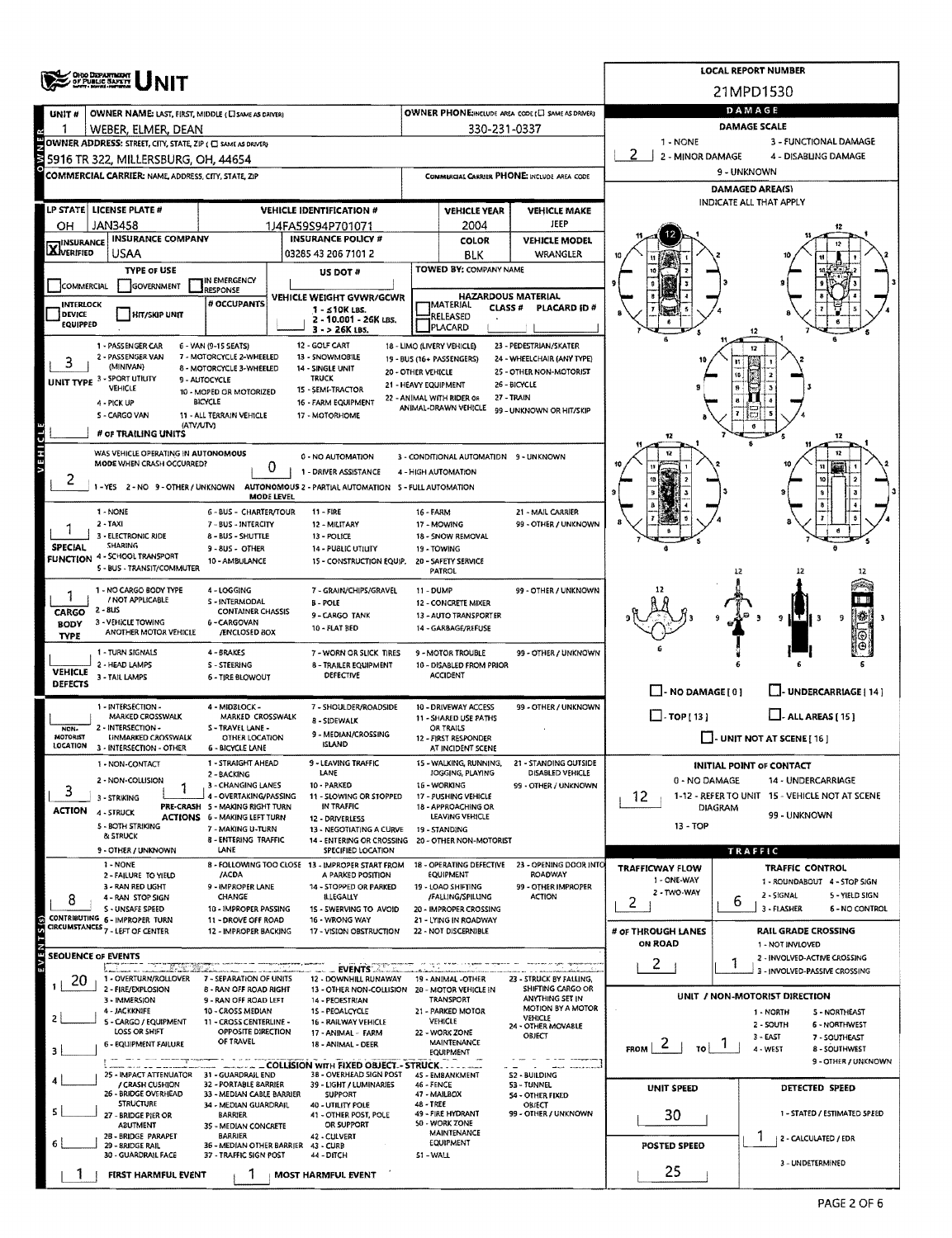|                                   | <b>OHIO DEPARTMENT</b>                                             |                                                           | <b>LOCAL REPORT NUMBER</b>                                                   |                                                                               |                                               |                                             |                                     |                                                              |  |  |  |  |
|-----------------------------------|--------------------------------------------------------------------|-----------------------------------------------------------|------------------------------------------------------------------------------|-------------------------------------------------------------------------------|-----------------------------------------------|---------------------------------------------|-------------------------------------|--------------------------------------------------------------|--|--|--|--|
|                                   |                                                                    |                                                           |                                                                              | 21MPD1530                                                                     |                                               |                                             |                                     |                                                              |  |  |  |  |
| UNIT#                             | OWNER NAME: LAST, FIRST, MIDDLE (CI SAME AS DAVER)                 |                                                           | DAMAGE                                                                       |                                                                               |                                               |                                             |                                     |                                                              |  |  |  |  |
|                                   | WEBER, ELMER, DEAN                                                 |                                                           |                                                                              |                                                                               | 330-231-0337                                  |                                             |                                     | <b>DAMAGE SCALE</b>                                          |  |  |  |  |
|                                   | OWNER ADDRESS: STREET, CITY, STATE, ZIP ( C) SAME AS DRIVERY       |                                                           |                                                                              | 1 - NONE<br>3 - FUNCTIONAL DAMAGE<br>2 - MINOR DAMAGE<br>4 - DISABLING DAMAGE |                                               |                                             |                                     |                                                              |  |  |  |  |
|                                   | 5916 TR 322, MILLERSBURG, OH, 44654                                |                                                           |                                                                              | 9 - UNKNOWN                                                                   |                                               |                                             |                                     |                                                              |  |  |  |  |
|                                   | COMMERCIAL CARRIER: NAME ADDRESS, CITY, STATE, ZIP                 |                                                           |                                                                              |                                                                               |                                               | COMMERCIAL CARRIER PHONE: INCLUDE AREA CODE | DAMAGED AREA(S)                     |                                                              |  |  |  |  |
|                                   |                                                                    |                                                           |                                                                              |                                                                               |                                               |                                             |                                     | INDICATE ALL THAT APPLY                                      |  |  |  |  |
| ОН                                | LP STATE LICENSE PLATE #<br>JAN3458                                |                                                           | <b>VEHICLE IDENTIFICATION #</b><br>1J4FA59S94P701071                         |                                                                               | <b>VEHICLE YEAR</b><br>2004                   | <b>VEHICLE MAKE</b><br>JEEP                 |                                     |                                                              |  |  |  |  |
| <b>INSURANCE</b>                  | <b>INSURANCE COMPANY</b>                                           |                                                           | <b>INSURANCE POLICY #</b>                                                    |                                                                               | <b>COLOR</b>                                  | <b>VEHICLE MODEL</b>                        |                                     |                                                              |  |  |  |  |
| <b>X</b> VERIFIED                 | USAA                                                               |                                                           | 03285 43 206 7101 2                                                          |                                                                               | <b>BLK</b>                                    | WRANGLER                                    |                                     |                                                              |  |  |  |  |
|                                   | <b>TYPE OF USE</b>                                                 | IN EMERGENCY                                              | US DOT #                                                                     |                                                                               | <b>TOWED BY: COMPANY NAME</b>                 |                                             |                                     |                                                              |  |  |  |  |
| <b>COMMERCIAL</b>                 | <b>GOVERNMENT</b>                                                  | <b>RESPONSE</b>                                           | VEHICLE WEIGHT GVWR/GCWR                                                     |                                                                               | <b>HAZARDOUS MATERIAL</b>                     |                                             |                                     |                                                              |  |  |  |  |
| <b>INTERLOCK</b><br><b>DEVICE</b> | HIT/SKIP UNIT                                                      | # OCCUPANTS                                               | $1 - 510K$ LBS.                                                              |                                                                               | IMATERIAL<br><b>CLASS#</b><br>RELEASED        | PLACARD ID #                                |                                     |                                                              |  |  |  |  |
| <b>EQUIPPED</b>                   |                                                                    |                                                           | 2 - 10.001 - 26K LBS.<br>3 - > 26K LBS.                                      |                                                                               | PLACARD                                       |                                             |                                     |                                                              |  |  |  |  |
|                                   | 1 - PASSENGER CAR                                                  | 6 - VAN (9-15 SEATS)                                      | 12 - GOLF CART                                                               |                                                                               | 18 - LIMO (LIVERY VEHICLE)                    | 23 - PEDESTRIAN/SKATER                      |                                     |                                                              |  |  |  |  |
|                                   | 2 - PASSENGER VAN<br>(MINIVAN)                                     | 7 - MOTORCYCLE 2-WHEELED<br>8 - MOTORCYCLE 3-WHEELED      | 13 - SNOWMOBILE<br>14 - SINGLE UNIT                                          |                                                                               | 19 - BUS (16+ PASSENGERS)                     | 24 - WHEELCHAIR (ANY TYPE)                  |                                     |                                                              |  |  |  |  |
|                                   | UNIT TYPE 3 - SPORT UTIUTY<br>VEHICLE                              | 9 - AUTOCYCLE                                             | <b>TRUCK</b><br>15 - SEMI-TRACTOR                                            | 20 - OTHER VEHICLE<br>21 - HEAVY EQUIPMENT                                    |                                               | 25 - OTHER NON-MOTORIST<br>26 - BICYCLE     |                                     | 15<br><b>b</b>                                               |  |  |  |  |
|                                   | 4 - PICK UP                                                        | 10 - MOPED OR MOTORIZED<br>BICYCLE                        | 16 - FARM EQUIPMENT                                                          |                                                                               | 22 - ANIMAL WITH RIDER OR                     | 27 - TRAIN                                  |                                     |                                                              |  |  |  |  |
|                                   | 5 - CARGO VAN<br>(ATV/UTV)                                         | 11 - ALL TERRAIN VEHICLE                                  | 17 - MOTORHOME                                                               |                                                                               | ANIMAL-DRAWN VEHICLE                          | 99 - UNKNOWN OR HIT/SKIP                    |                                     |                                                              |  |  |  |  |
|                                   | # OF TRAILING UNITS                                                |                                                           |                                                                              |                                                                               |                                               |                                             |                                     | 12                                                           |  |  |  |  |
| VEHICLE                           | WAS VEHICLE OPERATING IN AUTONOMOUS                                |                                                           | 0 - NO AUTOMATION                                                            |                                                                               | 3 - CONDITIONAL AUTOMATIDN 9 - UNKNOWN        |                                             |                                     |                                                              |  |  |  |  |
|                                   | MODE WHEN CRASH OCCURRED?                                          | 0                                                         | 1 - DRIVER ASSISTANCE                                                        |                                                                               | 4 - HIGH AUTOMATION                           |                                             |                                     | 10                                                           |  |  |  |  |
| 2                                 |                                                                    | MODE LEVEL                                                | 1-YES 2-NO 9-OTHER/UNKNOWN AUTONOMOUS 2-PARTIAL AUTOMATION 5-FULL AUTOMATION |                                                                               |                                               |                                             |                                     | a                                                            |  |  |  |  |
|                                   | 1 - NONE                                                           | 6 - BUS - CHARTER/TOUR                                    | 11 - FIRE                                                                    | <b>16 - FARM</b>                                                              |                                               | 21 - MAIL CARRIER                           |                                     |                                                              |  |  |  |  |
|                                   | $2 - TAXI$                                                         | 7 - BUS - INTERCITY                                       | 12 - MILITARY                                                                |                                                                               | 17 - MOWING                                   | 99 - OTHER / UNKNOWN                        |                                     |                                                              |  |  |  |  |
| <b>SPECIAL</b>                    | 3 - ELECTRONIC RIDE<br><b>SHARING</b>                              | 8 - BUS - SHUTTLE<br>9 - 8US - OTHER                      | 13 - POLICE<br>14 - PUBLIC UTILITY                                           |                                                                               | 18 - SNOW REMOVAL<br>19 - TOWING              |                                             |                                     |                                                              |  |  |  |  |
|                                   | FUNCTION 4 - SCHOOL TRANSPORT<br>5 - BUS - TRANSIT/COMMUTER        | 10 - AMBULANCE                                            | 15 - CONSTRUCTION EQUIP.                                                     |                                                                               | 20 - SAFETY SERVICE                           |                                             |                                     |                                                              |  |  |  |  |
|                                   |                                                                    |                                                           |                                                                              |                                                                               | PATROL                                        |                                             |                                     | 12                                                           |  |  |  |  |
|                                   | 1 - NO CARGO BODY TYPE<br>/ NOT APPLICABLE                         | 4 - LOGGING<br>S - INTERMODAL                             | 7 - GRAIN/CHIPS/GRAVEL<br>B - POLE                                           | 11 - DUMP                                                                     | 12 - CONCRETE MIXER                           | 99 - OTHER / UNKNOWN                        |                                     |                                                              |  |  |  |  |
| CARGO                             | 2 - BUS<br>3 - VEHICLE TOWING                                      | <b>CONTAINER CHASSIS</b><br>6 - CARGOVAN                  | 9 - CARGO TANK                                                               |                                                                               | 13 - AUTO TRANSPORTER                         |                                             |                                     | 9                                                            |  |  |  |  |
| <b>BODY</b><br><b>TYPE</b>        | ANOTHER MOTOR VEHICLE                                              | /ENCLOSED BOX                                             | 10 - FLAT BED                                                                |                                                                               | 14 - GARBAGE/REFUSE                           |                                             |                                     |                                                              |  |  |  |  |
|                                   | 1 - TURN SIGNALS                                                   | 4 - BRAKES                                                | 7 - WORN OR SLICK TIRES                                                      |                                                                               | 9 - MOTOR TROUBLE                             | 99 - OTHER / UNKNOWN                        |                                     |                                                              |  |  |  |  |
| <b>VEHICLE</b>                    | 2 - HEAD LAMPS<br>3 - TAIL LAMPS                                   | <b>S - STEERING</b><br>6 - TIRE BLOWOUT                   | <b>B - TRAILER EQUIPMENT</b><br><b>DEFECTIVE</b>                             |                                                                               | 10 - DISABLED FROM PRIOR<br><b>ACCIDENT</b>   |                                             |                                     |                                                              |  |  |  |  |
| <b>DEFECTS</b>                    |                                                                    |                                                           |                                                                              |                                                                               |                                               |                                             | $\Box$ - NO DAMAGE [ 0 ]            | L. UNDERCARRIAGE [ 14 ]                                      |  |  |  |  |
|                                   | 1 - INTERSECTION -                                                 | 4 - MIDBLOCK -                                            | 7 - SHOULDER/ROADSIDE                                                        |                                                                               | 10 - DRIVEWAY ACCESS                          | 99 - OTHER / UNKNOWN                        |                                     |                                                              |  |  |  |  |
| NON.                              | MARKED CROSSWALK<br>2 - INTERSECTION -                             | MARKED CROSSWALK<br>S-TRAVEL LANE -                       | 8 - SIDEWALK                                                                 |                                                                               | 11 - SHARED USE PATHS<br>OR TRAILS            |                                             | $\Box$ -TOP[13]                     | $\Box$ - ALL AREAS [ 15 ]                                    |  |  |  |  |
| MOTORIST<br>LOCATION              | UNMARKED CROSSWALK<br>3 - INTERSECTION - OTHER                     | OTHER LOCATION<br><b>6 - BICYCLE LANE</b>                 | 9 - MEDIAN/CROSSING<br><b>ISLAND</b>                                         |                                                                               | 12 - FIRST RESPONDER<br>AT INCIDENT SCENE     |                                             | $\Box$ - UNIT NOT AT SCENE [ 16 ]   |                                                              |  |  |  |  |
|                                   | 1 - NON-CONTACT                                                    | 1 - STRAIGHT AHEAD                                        | 9 - LEAVING TRAFFIC                                                          |                                                                               | 15 - WALKING, RUNNING,                        | 21 - STANDING OUTSIDE                       |                                     | <b>INITIAL POINT OF CONTACT</b>                              |  |  |  |  |
|                                   | 2 - NON-COLLISION                                                  | 2 - BACKING<br>3 - CHANGING LANES                         | LANE<br>10 - PARKED                                                          |                                                                               | JOGGING, PLAYING<br>16 - WORKING              | DISABLED VEHICLE<br>99 - OTHER / UNKNOWN    | 0 - NO DAMAGE<br>14 - UNDERCARRIAGE |                                                              |  |  |  |  |
| 3                                 | 3 - STRIKING                                                       | 4 - OVERTAKING/PASSING<br>PRE-CRASH 5 - MAKING RIGHT TURN | 11 - SLOWING OR STOPPED<br>IN TRAFFIC                                        | 17 - PUSHING VEHICLE<br>18 - APPROACHING OR                                   |                                               |                                             | 12.                                 | 1-12 - REFER TO UNIT 15 - VEHICLE NOT AT SCENE               |  |  |  |  |
| <b>ACTION</b>                     | 4 - STRUCK                                                         | <b>ACTIONS 6 - MAKING LEFT TURN</b>                       | 12 - DRIVERLESS                                                              |                                                                               | LEAVING VEHICLE                               |                                             |                                     | DIAGRAM<br>99 - UNKNOWN                                      |  |  |  |  |
|                                   | 5 - BOTH STRIKING<br>& STRUCK                                      | 7 - MAKING U-TURN<br>8 - ENTERING TRAFFIC                 | 13 - NEGOTIATING A CURVE<br>14 - ENTERING OR CROSSING                        |                                                                               | 19 - STANDING<br>20 - OTHER NON-MOTORIST      |                                             | 13 - TOP                            |                                                              |  |  |  |  |
|                                   | 9 - OTHER / UNKNOWN                                                | LANE                                                      | SPECIFIED LOCATION                                                           |                                                                               |                                               |                                             |                                     | <b>TRAFFIC</b>                                               |  |  |  |  |
|                                   | 1 - NONE<br>2 - FAILURE TO YIELD                                   | /ACDA                                                     | 8 - FOLLOWING TOO CLOSE 13 - IMPROPER START FROM<br>A PARKED POSITION        |                                                                               | 18 - OPERATING DEFECTIVE<br><b>EQUIPMENT</b>  | 23 - OPENING DOOR INTO<br>ROADWAY           | TRAFFICWAY FLOW                     | TRAFFIC CONTROL                                              |  |  |  |  |
|                                   | 3 - RAN RED UGHT<br>4 - RAN STOP SIGN                              | 9 - IMPROPER LANE<br>CHANGE                               | 14 - STOPPED OR PARKED<br>ILLEGALLY                                          |                                                                               | 19 - LOAO SHIFTING<br>/FALLING/SPILLING       | 99 - OTHER IMPROPER<br><b>ACTION</b>        | 1 - ONE-WAY<br>2 - TWO-WAY          | 1 - ROUNDABOUT 4 - STOP SIGN<br>2 - SIGNAL<br>5 - YIELD SIGN |  |  |  |  |
| 8                                 | S - UNSAFE SPEED                                                   | 10 - IMPROPER PASSING                                     | 15 - SWERVING TO AVOID                                                       |                                                                               | 20 - IMPROPER CROSSING                        |                                             | 2                                   | 6<br>3 - FLASHER<br>6 - NO CONTROL                           |  |  |  |  |
| es<br>S                           | CONTRIBUTING 6 - IMPROPER TURN<br>CIRCUMSTANCES 7 - LEFT OF CENTER | 11 - DROVE OFF ROAD<br>12 - IMPROPER BACKING              | 16 - WRONG WAY<br>17 - VISION OBSTRUCTION                                    |                                                                               | 21 - LYING IN ROADWAY<br>22 - NOT DISCERNIBLE |                                             | # OF THROUGH LANES                  | <b>RAIL GRADE CROSSING</b>                                   |  |  |  |  |
|                                   |                                                                    |                                                           |                                                                              |                                                                               |                                               |                                             | ON ROAD                             | 1 - NOT INVLOVED                                             |  |  |  |  |
| <b>SEOUENCE OF EVENTS</b>         |                                                                    |                                                           | <b>EVENTS AND REAL</b>                                                       |                                                                               |                                               |                                             | 2                                   | 2 - INVOLVED-ACTIVE CROSSING<br>1                            |  |  |  |  |
| 20                                | 1 - OVERTURN/ROLLOVER                                              | 7 - SEPARATION OF UNITS                                   | 12 - DOWNHILL RUNAWAY                                                        |                                                                               | 19 - ANIMAL -OTHER                            | 23 - STRUCK BY FALLING,                     |                                     | 3 - INVOLVED-PASSIVE CROSSING                                |  |  |  |  |
|                                   | 2 - FIRE/EXPLOSION<br>3 - IMMERSION                                | 8 - RAN OFF ROAD RIGHT<br>9 - RAN OFF ROAD LEFT           | 13 - OTHER NON-COLLISION 20 - MOTOR VEHICLE IN<br>14 - PEOESTRIAN            |                                                                               | TRANSPORT                                     | SHIFTING CARGO OR<br>ANYTHING SET IN        |                                     | UNIT / NON-MOTORIST DIRECTION                                |  |  |  |  |
| $\overline{2}$                    | 4 - JACKKNIFE<br>5 - CARGO / EQUIPMENT                             | 10 - CROSS MEDIAN<br>11 - CROSS CENTERLINE -              | 15 - PEOALCYCLE<br>16 - RAILWAY VEHICLE                                      |                                                                               | 21 - PARKED MOTOR<br>VEHICLE                  | MOTION BY A MOTOR<br>VEHICLE                |                                     | 1 - NORTH<br>5 - NORTHEAST<br>2 - SOUTH<br>6 - NORTHWEST     |  |  |  |  |
|                                   | LOSS OR SHIFT                                                      | OPPOSITE DIRECTION<br>OF TRAVEL                           | 17 - ANIMAL - FARM                                                           |                                                                               | 22 - WORK ZONE<br>MAINTENANCE                 | 24 - OTHER MOVABLE<br>OBJECT                |                                     | $3 - EAST$<br>7 - SOUTHEAST                                  |  |  |  |  |
| з                                 | 6 - EQLIIPMENT FAILURE                                             |                                                           | 18 - ANIMAL - DEER                                                           |                                                                               | <b>EQUIPMENT</b>                              |                                             | ፈ<br>FROM  <br>TO I                 | 8 - SOUTHWEST<br>4 - WEST                                    |  |  |  |  |
|                                   | 25 - IMPACT ATTENUATOR                                             | 31 - GUARDRAIL END                                        | <b>COLLISION WITH FIXED OBJECT .- STRUCK</b><br>38 - OVERHEAD SIGN POST      |                                                                               | 45 - EMBANKMENT                               | <b>MARK PRESERVATOR</b><br>52 - BUILDING    |                                     | 9 - OTHER / UNKNOWN                                          |  |  |  |  |
|                                   | / CRASH CUSHION<br>26 - BRIDGE OVERHEAD                            | 32 - PORTABLE BARRIER<br>33 - MEDIAN CABLE BARRIER        | 39 - LIGHT / LUMINARIES<br><b>SUPPORT</b>                                    | 46 - FENCE                                                                    | 47 - MAILBOX                                  | 53 - TUNNEL<br>54 - OTHER FIXED             | <b>UNIT SPEED</b>                   | DETECTED SPEED                                               |  |  |  |  |
|                                   | <b>STRUCTURE</b>                                                   | 34 - MEDIAN GUARDRAIL                                     | 40 - UTILITY POLE                                                            | 48 - TREE                                                                     | 49 - FIRE HYDRANT                             | OBJECT<br>99 - OTHER / UNKNOWN              |                                     | 1 - STATED / ESTIMATED SPEED                                 |  |  |  |  |
|                                   | 27 - BRIDGE PIER OR<br><b>ABUTMENT</b>                             | BARRIER<br>35 - MEDIAN CONCRETE                           | 41 - OTHER POST, POLE<br>OR SUPPORT                                          |                                                                               | 50 - WORK ZONE                                |                                             | 30                                  |                                                              |  |  |  |  |
|                                   | 28 - BRIDGE PARAPET<br>29 - 8RIDGE RAIL                            | BARRIER<br>36 - MEDIAN OTHER BARRIER 43 - CURB            | 42 - CULVERT                                                                 |                                                                               | MAINTENANCE<br><b>EQUIPMENT</b>               |                                             | <b>POSTED SPEED</b>                 | 2 - CALCULATED / EDR                                         |  |  |  |  |
|                                   | 30 - GUARDRAIL FACE                                                | 37 - TRAFFIC SIGN POST                                    | 44 - DITCH                                                                   | 51 - WALL                                                                     |                                               |                                             |                                     | 3 - UNDETERMINED                                             |  |  |  |  |
|                                   | FIRST HARMFUL EVENT                                                |                                                           | MOST HARMFUL EVENT                                                           |                                                                               |                                               |                                             | 25                                  |                                                              |  |  |  |  |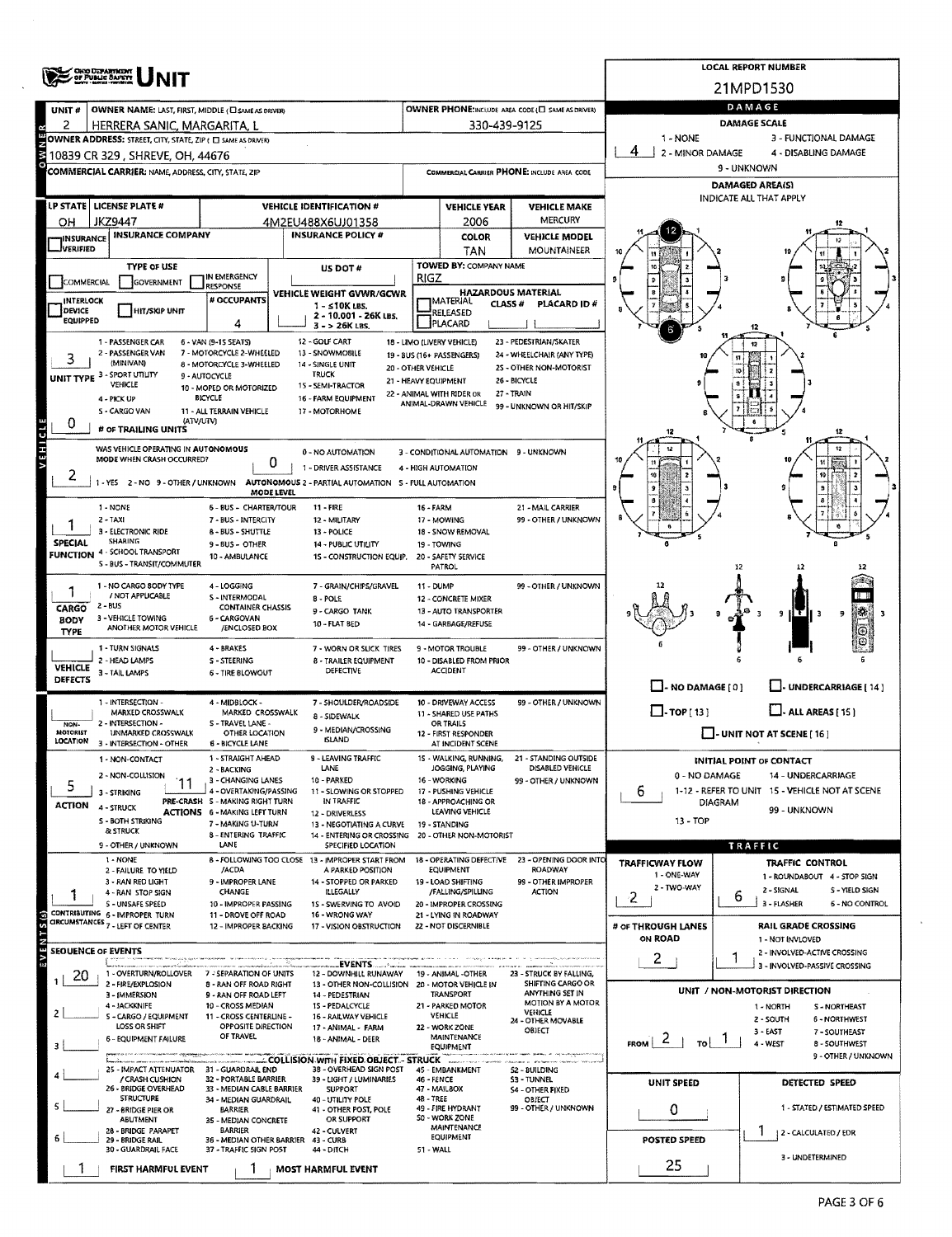|                                       | OHO DEPARTMENT                                                                                  |                                                                        | <b>LOCAL REPORT NUMBER</b>                                                               |                                            |                                               |                                                |                                                          |                                                                 |  |  |  |  |
|---------------------------------------|-------------------------------------------------------------------------------------------------|------------------------------------------------------------------------|------------------------------------------------------------------------------------------|--------------------------------------------|-----------------------------------------------|------------------------------------------------|----------------------------------------------------------|-----------------------------------------------------------------|--|--|--|--|
|                                       |                                                                                                 |                                                                        |                                                                                          | 21MPD1530                                  |                                               |                                                |                                                          |                                                                 |  |  |  |  |
| UNIT #                                | OWNER NAME: LAST, FIRST, MIDDLE (CI SAME AS DRIVER)                                             |                                                                        | OWNER PHONE:INCLUDE AREA CODE (E) SAME AS DRIVERY                                        | DAMAGE                                     |                                               |                                                |                                                          |                                                                 |  |  |  |  |
| 2                                     | HERRERA SANIC, MARGARITA, L                                                                     |                                                                        |                                                                                          |                                            | 330-439-9125                                  |                                                | <b>DAMAGE SCALE</b><br>1 - NONE<br>3 - FUNCTIONAL DAMAGE |                                                                 |  |  |  |  |
|                                       | OWNER ADDRESS: STREET, CITY, STATE, ZIP ( E SAME AS DRIVER)<br>10839 CR 329 , SHREVE, OH, 44676 |                                                                        |                                                                                          |                                            |                                               |                                                | 4<br>2 - MINOR DAMAGE                                    | 4 - DISABLING DAMAGE                                            |  |  |  |  |
|                                       | COMMERCIAL CARRIER: NAME ADDRESS, CITY, STATE, ZIP                                              |                                                                        | COMMERCIAL CARRIER PHONE: INCLUDE AREA CODE                                              | 9 - UNKNOWN                                |                                               |                                                |                                                          |                                                                 |  |  |  |  |
|                                       |                                                                                                 |                                                                        | <b>DAMAGED AREA(S)</b>                                                                   |                                            |                                               |                                                |                                                          |                                                                 |  |  |  |  |
|                                       | LP STATE LICENSE PLATE #                                                                        | <b>VEHICLE IDENTIFICATION #</b>                                        |                                                                                          | <b>INDICATE ALL THAT APPLY</b>             |                                               |                                                |                                                          |                                                                 |  |  |  |  |
| OН                                    | JKZ9447                                                                                         |                                                                        | 4M2EU488X6UJ01358                                                                        |                                            | 2006                                          | MERCURY                                        |                                                          |                                                                 |  |  |  |  |
| <b>INSURANCE</b><br><b>J</b> verified | <b>INSURANCE COMPANY</b>                                                                        |                                                                        | <b>INSURANCE POLICY #</b>                                                                |                                            | COLOR                                         | <b>VEHICLE MODEL</b><br><b>MOUNTAINEER</b>     |                                                          |                                                                 |  |  |  |  |
|                                       | <b>TYPE OF USE</b>                                                                              |                                                                        | US DOT #                                                                                 |                                            | TAN<br>TOWED BY: COMPANY NAME                 |                                                | 10                                                       |                                                                 |  |  |  |  |
| COMMERCIAL                            | GOVERNMENT                                                                                      | in Emergency<br>RESPONSE                                               |                                                                                          | RIGZ                                       |                                               |                                                |                                                          |                                                                 |  |  |  |  |
| <b>INTERLOCK</b>                      |                                                                                                 | # OCCUPANTS                                                            | VEHICLE WEIGHT GVWR/GCWR<br>$1 - 510K$ LBS.                                              |                                            | <b>IMATERIAL</b><br>CLASS $#$                 | <b>HAZARDOUS MATERIAL</b><br>PLACARD ID#       |                                                          |                                                                 |  |  |  |  |
| DEVICE<br>EQUIPPED                    | <b>HIT/SKIP UNIT</b>                                                                            | 4                                                                      | 2 - 10.001 - 26K LBS.<br>$3 - 26K$ LBS.                                                  |                                            | RELEASED<br>PLACARD                           |                                                |                                                          |                                                                 |  |  |  |  |
|                                       | 1 - PASSENGER CAR                                                                               | 6 - VAN (9-1S SEATS)                                                   | 12 - GOLF CART                                                                           |                                            | 18 - LIMO (LIVERY VEHICLE)                    | 23 - PEDESTRIAN/SKATER                         |                                                          |                                                                 |  |  |  |  |
|                                       | 2 - PASSENGER VAN<br>(MINIVAN)                                                                  | 7 - MOTORCYCLE 2-WHEELED                                               | 13 - SNOWMOBILE                                                                          |                                            | 19 - 8US (16+ PASSENGERS)                     | 24 - WHEELCHAIR (ANY TYPE)                     |                                                          | 11                                                              |  |  |  |  |
|                                       | UNIT TYPE 3-SPORT UTILITY                                                                       | 8 - MOTORCYCLE 3-WHEELED<br>9 - AUTOCYCLE                              | 14 - SINGLE UNIT<br><b>TRUCK</b>                                                         | 20 - OTHER VEHICLE<br>21 - HEAVY EQUIPMENT |                                               | 25 - OTHER NON-MOTORIST<br>26 - BICYCLE        |                                                          | 13                                                              |  |  |  |  |
|                                       | <b>VEHICLE</b><br>4 - PICK UP                                                                   | 10 - MOPED OR MOTORIZED<br><b>BICYCLE</b>                              | 15 - SEMI-TRACTOR<br>16 - FARM EQUIPMENT                                                 |                                            | 22 - ANIMAL WITH RIDER OR                     | 27 - TRAIN                                     |                                                          |                                                                 |  |  |  |  |
|                                       | 5 - CARGO VAN                                                                                   | 11 - ALL TERRAIN VEHICLE                                               | 17 - MOTORHOME                                                                           |                                            | ANIMAL-DRAWN VEHICLE                          | 99 - UNKNOWN OR HIT/SKIP                       |                                                          |                                                                 |  |  |  |  |
| 0                                     | (ATV/UTV)<br># OF TRAILING UNITS                                                                |                                                                        |                                                                                          |                                            |                                               |                                                |                                                          |                                                                 |  |  |  |  |
| VEHICLE                               | WAS VEHICLE OPERATING IN AUTONOMOUS                                                             |                                                                        | 0 - NO AUTOMATION                                                                        |                                            | 3 - CONDITIONAL AUTOMATION 9 - UNKNOWN        |                                                |                                                          |                                                                 |  |  |  |  |
|                                       | MODE WHEN CRASH OCCURRED?                                                                       | 0                                                                      | 1 - DRIVER ASSISTANCE                                                                    |                                            | 4 - HIGH AUTOMATION                           |                                                |                                                          |                                                                 |  |  |  |  |
| ۷                                     |                                                                                                 | MODE LEVEL                                                             | 1 - YES 2 - NO 9 - OTHER / UNKNOWN AUTONOMOUS 2 - PARTIAL AUTOMATION S - FULL AUTOMATION |                                            |                                               |                                                |                                                          |                                                                 |  |  |  |  |
|                                       | 1 - NONE                                                                                        | 6 - BUS - CHARTER/TOUR                                                 | 11 - FIRE                                                                                | 16 - FARM                                  |                                               | 21 - MAIL CARRIER                              |                                                          |                                                                 |  |  |  |  |
|                                       | $2 - TAXI$                                                                                      | 7 - BUS - INTERCITY                                                    | 12 - MILITARY                                                                            |                                            | 17 - MOWING                                   | 99 - OTHER / UNKNOWN                           |                                                          |                                                                 |  |  |  |  |
| <b>SPECIAL</b>                        | 3 - ELECTRONIC RIDE<br>SHARING                                                                  | <b>8 - BUS - SHUTTLE</b><br>9 - BUS - OTHER                            | 13 - POLICE<br>14 - PUBLIC UTILITY                                                       |                                            | 18 - SNOW REMOVAL<br>19 - TOWING              |                                                |                                                          |                                                                 |  |  |  |  |
|                                       | FUNCTION 4 - SCHOOL TRANSPORT<br>S - BUS - TRANSIT/COMMUTER                                     | 10 - AMBULANCE                                                         | 15 - CONSTRUCTION EQUIP.                                                                 |                                            | 20 - SAFETY SERVICE<br>PATROL                 |                                                |                                                          | 12                                                              |  |  |  |  |
|                                       | 1 - NO CARGO 8ODY TYPE                                                                          | 4 - LOGGING                                                            | 7 - GRAIN/CHIPS/GRAVEL                                                                   | 11 - DUMP                                  |                                               | 99 - OTHER / UNKNOWN                           |                                                          |                                                                 |  |  |  |  |
| 1                                     | / NOT APPUCABLE<br>2 - BUS                                                                      | S - INTERMODAL                                                         | $8 - POLE$                                                                               |                                            | 12 - CONCRETE MIXER                           |                                                |                                                          |                                                                 |  |  |  |  |
| CARGO<br><b>BODY</b>                  | 3 - VEHICLE TOWING                                                                              | <b>CONTAINER CHASSIS</b><br>6 - CARGOVAN                               | 9 - CARGO TANK<br>10 - FLAT BED                                                          |                                            | 13 - AUTO TRANSPORTER<br>14 - GARBAGE/REFUSE  |                                                |                                                          | нτ<br>9                                                         |  |  |  |  |
| <b>TYPE</b>                           | ANOTHER MOTOR VEHICLE                                                                           | /ENCLOSED BOX                                                          |                                                                                          |                                            |                                               |                                                |                                                          |                                                                 |  |  |  |  |
|                                       | 1 - TURN SIGNALS<br>2 - HEAD LAMPS                                                              | 4 - BRAKES<br>S - STEERING                                             | 7 - WORN OR SLICK TIRES<br><b>8 - TRAILER EQUIPMENT</b>                                  |                                            | 9 - MOTOR TROUBLE<br>10 - DISABLED FROM PRIOR | 99 - OTHER / UNKNOWN                           |                                                          |                                                                 |  |  |  |  |
| <b>VEHICLE</b><br>DEFECTS             | 3 - TAIL LAMPS                                                                                  | <b>6 - TIRE BLOWOUT</b>                                                | <b>DEFECTIVE</b>                                                                         |                                            | <b>ACCIDENT</b>                               |                                                |                                                          |                                                                 |  |  |  |  |
|                                       |                                                                                                 |                                                                        |                                                                                          |                                            |                                               |                                                | $\Box$ - NO DAMAGE [ 0 ]                                 | J- UNDERCARRIAGE [ 14 ]                                         |  |  |  |  |
|                                       | 1 - INTERSECTION -<br>MARKED CROSSWALK                                                          | 4 - MIDBLOCK -<br>MARKED CROSSWALK                                     | 7 - SHOULDER/ROADSIDE<br>8 - SIDEWALK                                                    |                                            | 10 - DRIVEWAY ACCESS<br>11 - SHARED USE PATHS | 99 - OTHER / UNKNOWN                           | $\Box$ -TOP[13]                                          | $L$ . ALL AREAS (15)                                            |  |  |  |  |
| NON-<br><b>MOTORIST</b>               | 2 - INTERSECTION -<br>UNMARKED CROSSWALK                                                        | S - TRAVEL LANE -<br>OTHER LOCATION                                    | 9 - MEDIAN/CROSSING<br><b>ISLAND</b>                                                     |                                            | OR TRAILS<br>12 - FIRST RESPONDER             |                                                |                                                          | - UNIT NOT AT SCENE [ 16 ]                                      |  |  |  |  |
| LOCATION                              | 3 - INTERSECTION - OTHER                                                                        | 6 - BICYCLE LANE<br>1 - STRAIGHT AHEAD                                 | 9 - LEAVING TRAFFIC                                                                      |                                            | AT INCIDENT SCENE<br>15 - WALKING, RUNNING,   | 21 - STANDING OUTSIDE                          |                                                          |                                                                 |  |  |  |  |
|                                       | 1 - NON-CONTACT<br>2 - NON-COLLISION                                                            | 2 - BACKING                                                            | LANE                                                                                     |                                            | JOGGING, PLAYING                              | DISABLED VEHICLE                               |                                                          | <b>INITIAL POINT OF CONTACT</b><br>14 - UNDERCARRIAGE           |  |  |  |  |
| 5                                     | 3 - STRIKING                                                                                    | 3 - CHANGING LANES<br>4 - OVERTAKING/PASSING                           | 10 - PARKED<br>11 - SLOWING OR STOPPED                                                   |                                            | 16 - WORKING<br>17 - PUSHING VEHICLE          | 99 - OTHER / UNKNOWN                           | 6.                                                       | 0 - NO DAMAGE<br>1-12 - REFER TO UNIT 15 - VEHICLE NOT AT SCENE |  |  |  |  |
| <b>ACTION</b>                         | 4 - STRUCK                                                                                      | PRE-CRASH S - MAKING RIGHT TURN<br><b>ACTIONS 6 - MAKING LEFT TURN</b> | IN TRAFFIC<br>12 - DRIVERLESS                                                            |                                            | <b>18 - APPROACHING OR</b><br>LEAVING VEHICLE |                                                | <b>DIAGRAM</b><br>99 - UNKNOWN                           |                                                                 |  |  |  |  |
|                                       | S - BOTH STRIKING<br>& STRUCK                                                                   | 7 - MAKING U-TURN                                                      | 13 - NEGOTIATING A CURVE                                                                 |                                            | 19 - STANDING                                 |                                                | 13 - TOP                                                 |                                                                 |  |  |  |  |
|                                       | 9 - OTHER / UNKNOWN                                                                             | 8 - ENTERING TRAFFIC<br>LANE                                           | 14 - ENTERING OR CROSSING<br>SPECIFIED LOCATION                                          |                                            | 20 - OTHER NON-MOTORIST                       |                                                |                                                          | TRAFFIC                                                         |  |  |  |  |
|                                       | 1 - NONE<br>2 - FAILURE TO YIELD                                                                | /ACDA                                                                  | 8 - FOLLOWING TOO CLOSE 13 - IMPROPER START FROM<br>A PARKED POSITION                    |                                            | 18 - OPERATING DEFECTIVE<br>EQUIPMENT         | 23 - OPENING DOOR INTO<br><b>ROADWAY</b>       | <b>TRAFFICWAY FLOW</b>                                   | <b>TRAFFIC CONTROL</b>                                          |  |  |  |  |
|                                       | 3 - RAN RED LIGHT                                                                               | 9 - IMPROPER LANE                                                      | 14 - STOPPED OR PARKED                                                                   |                                            | <b>19 - LOAD SHIFTING</b>                     | 99 - OTHER IMPROPER                            | 1 - ONE-WAY<br>2 - TWO-WAY                               | 1 - ROUNDABOUT 4 - STOP SIGN<br>2 - SIGNAL<br>S - YIELD SIGN    |  |  |  |  |
|                                       | 4 - RAN STOP SIGN<br>S - UNSAFE SPEED                                                           | CHANGE<br>10 - IMPROPER PASSING                                        | ILLEGALLY<br>15 - SWERVING TO AVOID                                                      |                                            | /FALLING/SPILLING<br>20 - IMPROPER CROSSING   | <b>ACTION</b>                                  | 2                                                        | 6<br>3 - FLASHER<br>6 - NO CONTROL                              |  |  |  |  |
| (5)                                   | CONTRIBUTING 6 - IMPROPER TURN<br>CIRCUMSTANCES 7 - LEFT OF CENTER                              | 11 - DROVE OFF ROAD<br>12 - IMPROPER BACKING                           | 16 - WRONG WAY<br>17 - VISION OBSTRUCTION                                                |                                            | 21 - LYING IN ROADWAY<br>22 - NOT DISCERNIBLE |                                                | # OF THROUGH LANES                                       | <b>RAIL GRADE CROSSING</b>                                      |  |  |  |  |
|                                       |                                                                                                 |                                                                        |                                                                                          |                                            |                                               |                                                | ON ROAD                                                  | 1 - NOT INVLOVED                                                |  |  |  |  |
| u                                     | <b>SEQUENCE OF EVENTS</b>                                                                       |                                                                        | <b>EVENTS</b>                                                                            |                                            |                                               |                                                | $\mathbf{2}$                                             | 2 - INVOLVED-ACTIVE CROSSING<br>3 - INVOLVED-PASSIVE CROSSING   |  |  |  |  |
| 20                                    | 1 - OVERTURN/ROLLOVER<br>2 - FIRE/EXPLOSION                                                     | 7 - SEPARATION OF UNITS<br>8 - RAN OFF ROAD RIGHT                      | 12 - DOWNHILL RUNAWAY<br>13 - OTHER NON-COLLISION                                        |                                            | 19 - ANIMAL -OTHER<br>20 - MOTOR VEHICLE IN   | 23 - STRUCK BY FALLING,<br>SHIFTING CARGO OR   |                                                          |                                                                 |  |  |  |  |
|                                       | 3 - IMMERSION                                                                                   | 9 - RAN OFF ROAD LEFT                                                  | 14 - PEDESTRIAN                                                                          |                                            | <b>TRANSPORT</b>                              | ANYTHING SET IN<br><b>MOTION BY A MOTOR</b>    |                                                          | UNIT / NON-MOTORIST DIRECTION                                   |  |  |  |  |
| 2                                     | 4 - JACKKNIFE<br>S - CARGO / EQUIPMENT                                                          | 10 - CROSS MEDIAN<br>11 - CROSS CENTERLINE -                           | 15 - PEDALCYCLE<br>16 - RAILWAY VEHICLE                                                  |                                            | 21 - PARKED MOTOR<br><b>VEHICLE</b>           | <b>VEHICLE</b><br>24 - OTHER MOVABLE           |                                                          | 1 - NORTH<br>S - NORTHEAST<br>2 - SOUTH<br>6 - NORTHWEST        |  |  |  |  |
|                                       | LOSS OR SHIFT<br>6 - EQUIPMENT FAILURE                                                          | OPPOSITE DIRECTION<br>OF TRAVEL                                        | 17 - ANIMAL - FARM<br>18 - ANIMAL - DEER                                                 |                                            | 22 - WORK ZONE<br>MAINTENANCE                 | OBJECT                                         | $F_{\text{ROM}}$ 2                                       | 3 - EAST<br>7 - SOUTHEAST<br>$\mathbf{r}$                       |  |  |  |  |
| з                                     |                                                                                                 |                                                                        | COLLISION WITH FIXED OBJECT .- STRUCK                                                    |                                            | EQUIPMENT                                     |                                                | $ $ To                                                   | 4 - WEST<br>8 - SOUTHWEST<br>9 - OTHER / UNKNOWN                |  |  |  |  |
|                                       | 25 - IMPACT ATTENUATOR 31 - GUARDRAIL END                                                       |                                                                        | 38 - OVERHEAD SIGN POST                                                                  |                                            | 45 - EMBANKMENT                               | <b>S2 - BUILDING</b>                           |                                                          |                                                                 |  |  |  |  |
|                                       | / CRASH CUSHION<br>26 - BRIDGE OVERHEAD                                                         | 32 - PORTABLE BARRIER<br>33 - MEDIAN CABLE BARRIER                     | 39 - LIGHT / LUMINARIES<br><b>SUPPORT</b>                                                | 46 - FENCE                                 | 47 - MAILBOX                                  | <b>S3 - TUNNEL</b><br><b>\$4 - OTHER FIXED</b> | UNIT SPEED                                               | <b>DETECTED SPEED</b>                                           |  |  |  |  |
|                                       | <b>STRUCTURE</b><br>27 - BRIDGE PIER OR                                                         | 34 - MEDIAN GUARDRAIL<br><b>BARRIER</b>                                | 40 - UTILITY POLE<br>41 - OTHER POST, POLE                                               | 48 - TREE                                  | 49 - FIRE HYDRANT                             | OBJECT<br>99 - OTHER / UNKNOWN                 | 0                                                        | 1 - STATED / ESTIMATED SPEED                                    |  |  |  |  |
|                                       | ABUTMENT<br>28 - BRIDGE PARAPET                                                                 | 35 - MEDIAN CONCRETE<br><b>BARRIER</b>                                 | OR SUPPORT<br>42 - CULVERT                                                               |                                            | S0 - WORK ZONE<br>MAINTENANCE                 |                                                |                                                          | 2 - CALCULATED / EDR                                            |  |  |  |  |
|                                       | 29 - BRIDGE RAIL<br>30 - GUARDRAIL FACE                                                         | 36 - MEDIAN OTHER BARRIER 43 - CURB<br>37 - TRAFFIC SIGN POST          | 44 - DITCH                                                                               | 51 - WALL                                  | <b>EQUIPMENT</b>                              |                                                | <b>POSTED SPEED</b>                                      |                                                                 |  |  |  |  |
|                                       | FIRST HARMFUL EVENT                                                                             |                                                                        | MOST HARMFUL EVENT                                                                       |                                            |                                               |                                                | 25                                                       | 3 - UNDETERMINED                                                |  |  |  |  |
|                                       |                                                                                                 |                                                                        |                                                                                          |                                            |                                               |                                                |                                                          |                                                                 |  |  |  |  |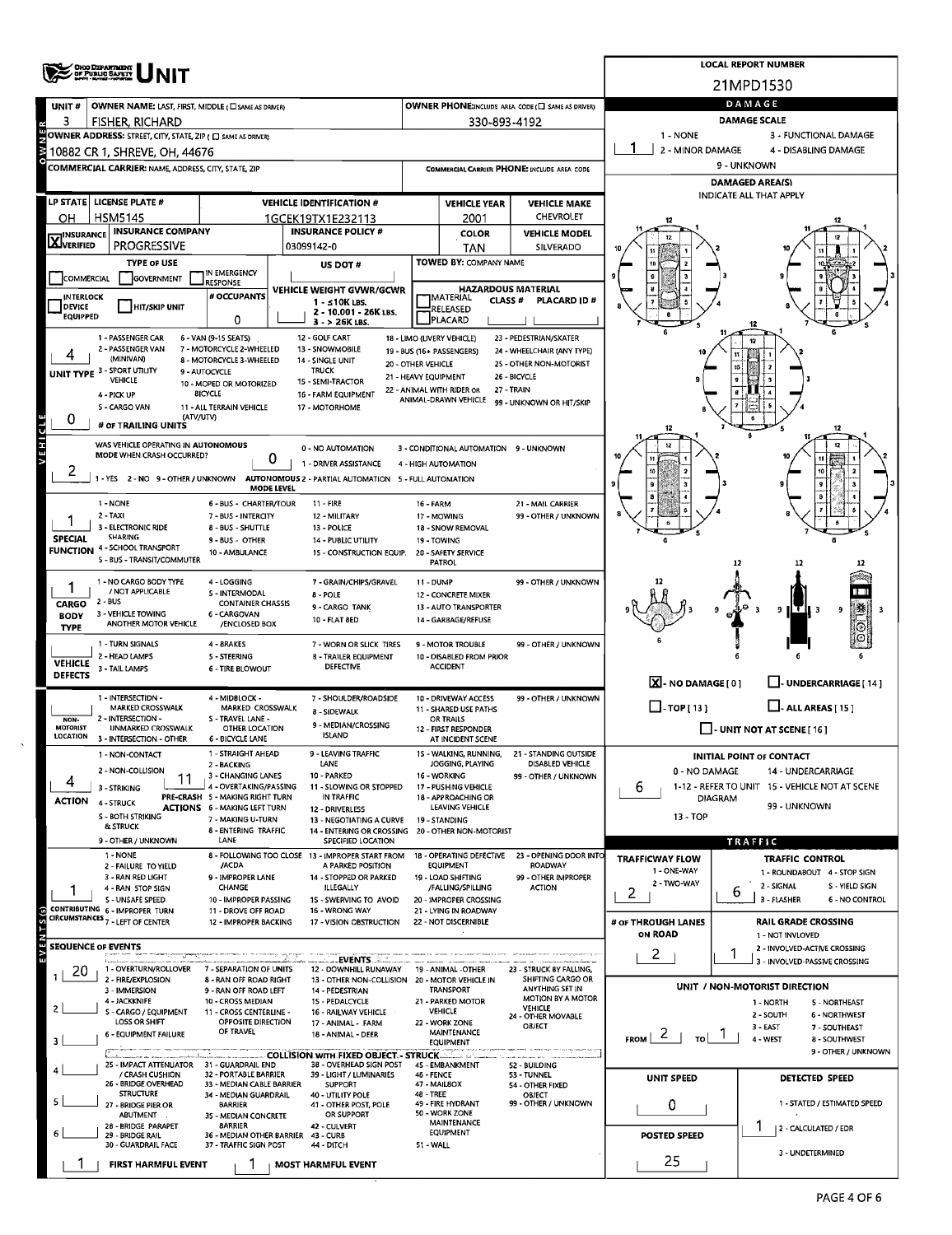|                                                      | <b>CHOODSPARTMENT</b>                                                                 |                                                                        | <b>LOCAL REPORT NUMBER</b>                                                            |                      |                                                         |                                                      |                                                                 |                                                                |  |  |  |  |
|------------------------------------------------------|---------------------------------------------------------------------------------------|------------------------------------------------------------------------|---------------------------------------------------------------------------------------|----------------------|---------------------------------------------------------|------------------------------------------------------|-----------------------------------------------------------------|----------------------------------------------------------------|--|--|--|--|
|                                                      |                                                                                       |                                                                        | 21MPD1530                                                                             |                      |                                                         |                                                      |                                                                 |                                                                |  |  |  |  |
| UNIT#                                                | OWNER NAME: LAST, FIRST, MIDDLE ( C SAME AS DRIVER)                                   |                                                                        |                                                                                       |                      |                                                         | OWNER PHONE:INCLUDE AREA CODE (C) SAME AS DRIVER)    |                                                                 | DAMAGE                                                         |  |  |  |  |
| 3                                                    | <b>FISHER, RICHARD</b><br>OWNER ADDRESS: STREET, CITY, STATE, ZIP ( O SAME AS DRIVER) |                                                                        |                                                                                       |                      | 330-893-4192                                            |                                                      | 1 - NONE                                                        | <b>DAMAGE SCALE</b><br>3 - FUNCTIONAL DAMAGE                   |  |  |  |  |
|                                                      | 2 - MINOR DAMAGE<br>4 - DISABLING DAMAGE<br>10882 CR 1, SHREVE, OH, 44676             |                                                                        |                                                                                       |                      |                                                         |                                                      |                                                                 |                                                                |  |  |  |  |
|                                                      | COMMERCIAL CARRIER: NAME, ADDRESS, CITY, STATE, ZIP                                   |                                                                        | COMMERCIAL CARRIER PHONE: INCLUDE AREA CODE                                           | 9 - UNKNOWN          |                                                         |                                                      |                                                                 |                                                                |  |  |  |  |
|                                                      |                                                                                       |                                                                        | <b>DAMAGED AREA(S)</b><br><b>INDICATE ALL THAT APPLY</b>                              |                      |                                                         |                                                      |                                                                 |                                                                |  |  |  |  |
|                                                      | LP STATE LICENSE PLATE #                                                              |                                                                        | <b>VEHICLE IDENTIFICATION #</b>                                                       |                      | <b>VEHICLE YEAR</b>                                     | <b>VEHICLE MAKE</b><br><b>CHEVROLET</b>              |                                                                 |                                                                |  |  |  |  |
| OН                                                   | <b>HSM5145</b><br><b>INSURANCE COMPANY</b>                                            |                                                                        | 1GCEK19TX1E232113<br><b>INSURANCE POLICY #</b>                                        |                      | 2001<br><b>COLOR</b>                                    | <b>VEHICLE MODEL</b>                                 |                                                                 |                                                                |  |  |  |  |
| <b>X</b> <sup>INSURANCE</sup>                        | <b>PROGRESSIVE</b>                                                                    |                                                                        | 03099142-0                                                                            |                      | TAN                                                     | SILVERADO                                            |                                                                 |                                                                |  |  |  |  |
|                                                      | <b>TYPE OF USE</b>                                                                    | IN EMERGENCY                                                           | US DOT #                                                                              |                      | <b>TOWED BY: COMPANY NAME</b>                           |                                                      |                                                                 |                                                                |  |  |  |  |
| <b>COMMERCIAL</b>                                    | <b>GOVERNMENT</b>                                                                     | <b>RESPONSE</b><br># OCCUPANTS                                         | VEHICLE WEIGHT GVWR/GCWR                                                              |                      | <b>HAZARDOUS MATERIAL</b>                               |                                                      |                                                                 |                                                                |  |  |  |  |
| <b>INTERLOCK</b><br><b>DEVICE</b><br><b>EQUIPPED</b> | <b>HIT/SKIP UNIT</b>                                                                  |                                                                        | $1 - 510K$ LBS.<br>2 - 10.001 - 26K LBS.                                              |                      | <b>IMATERIAL</b><br>CLASS#<br>RELEASED                  | <b>PLACARD ID#</b>                                   |                                                                 |                                                                |  |  |  |  |
|                                                      |                                                                                       | 0                                                                      | 3 - > 26K LBS.                                                                        |                      | <b>PLACARD</b>                                          |                                                      |                                                                 |                                                                |  |  |  |  |
|                                                      | 1 - PASSENGER CAR<br>2 - PASSENGER VAN                                                | 6 - VAN (9-15 SEATS)<br>7 - MOTORCYCLE 2-WHEELED                       | 12 - GOLF CART<br>13 - SNOWMOBILE                                                     |                      | 18 - LIMO (LIVERY VEHICLE)<br>19 - BUS (16+ PASSENGERS) | 23 - PEDESTRIAN/SKATER<br>24 - WHEELCHAIR (ANY TYPE) |                                                                 | 12                                                             |  |  |  |  |
|                                                      | (MINIVAN)<br>UNIT TYPE 3 - SPORT UTILITY                                              | 8 - MOTORCYCLE 3-WHEELED<br>9 - AUTOCYCLE                              | 14 - SINGLE UNIT<br><b>TRUCK</b>                                                      | 20 - OTHER VEHICLE   |                                                         | 25 - OTHER NON-MOTORIST<br>26 - BICYCLE              |                                                                 |                                                                |  |  |  |  |
|                                                      | <b>VEHICLE</b><br>4 - PICK UP                                                         | 10 - MOPED OR MOTORIZED<br><b>BICYCLE</b>                              | 15 - SEMI-TRACTOR<br>16 - FARM EQUIPMENT                                              | 21 - HEAVY EQUIPMENT | 22 - ANIMAL WITH RIDER OR                               | 27 - TRAIN                                           |                                                                 |                                                                |  |  |  |  |
|                                                      | 5 - CARGO VAN                                                                         | <b>11 - ALL TERRAIN VEHICLE</b>                                        | 17 - MOTORHOME                                                                        |                      | ANIMAL-DRAWN VEHICLE                                    | 99 - UNKNOWN OR HIT/SKIP                             |                                                                 |                                                                |  |  |  |  |
| 0                                                    | (ATV/UTV)<br># OF TRAILING UNITS                                                      |                                                                        |                                                                                       |                      |                                                         |                                                      |                                                                 |                                                                |  |  |  |  |
| <b>VEHICLE</b>                                       | WAS VEHICLE OPERATING IN AUTONOMOUS<br>MODE WHEN CRASH OCCURRED?                      |                                                                        | 0 - NO AUTOMATION                                                                     |                      | 3 - CONDITIONAL AUTOMATION 9 - UNKNOWN                  |                                                      |                                                                 |                                                                |  |  |  |  |
| 2                                                    |                                                                                       | 0                                                                      | 1 - DRIVER ASSISTANCE                                                                 |                      | 4 - HIGH AUTOMATION                                     |                                                      |                                                                 |                                                                |  |  |  |  |
|                                                      |                                                                                       | <b>MODE LEVEL</b>                                                      | -YES 2 - NO 9 - OTHER / UNKNOWN AUTONOMOUS 2 - PARTIAL AUTOMATION 5 - FULL AUTOMATION |                      |                                                         |                                                      |                                                                 |                                                                |  |  |  |  |
|                                                      | 1 - NONE                                                                              | 6 - BUS - CHARTER/TOUR                                                 | $11 - FIRE$                                                                           | 16 - FARM            |                                                         | 21 - MAIL CARRIER                                    |                                                                 |                                                                |  |  |  |  |
|                                                      | 2 - TAXI<br>3 - ELECTRONIC RIDE                                                       | 7 - BUS - INTERCITY<br>8 - BUS - SHUTTLE                               | 12 - MILITARY<br>13 - POLICE                                                          |                      | 17 - MOWING<br>18 - SNOW REMOVAL                        | 99 - OTHER / UNKNOWN                                 |                                                                 |                                                                |  |  |  |  |
| <b>SPECIAL</b>                                       | SHARING<br><b>FUNCTION 4 - SCHOOL TRANSPORT</b>                                       | 9 - BUS - OTHER<br>10 - AMBULANCE                                      | 14 - PUBLIC UTILITY<br>15 - CONSTRUCTION EQUIP.                                       |                      | 19 - TOWING<br>20 - SAFETY SERVICE                      |                                                      |                                                                 |                                                                |  |  |  |  |
|                                                      | 5 - BUS - TRANSIT/COMMUTER                                                            |                                                                        |                                                                                       |                      | PATROL                                                  |                                                      |                                                                 | 12                                                             |  |  |  |  |
|                                                      | 1 - NO CARGO BODY TYPE<br>/ NOT APPLICABLE                                            | 4 - LOGGING<br>S - INTERMODAL                                          | 7 - GRAIN/CHIPS/GRAVEL                                                                | <b>11 - DUMP</b>     |                                                         | 99 - OTHER / UNKNOWN                                 |                                                                 |                                                                |  |  |  |  |
| <b>CARGO</b>                                         | 2 - BUS                                                                               | <b>CONTAINER CHASSIS</b>                                               | 8 - POLE<br>9 - CARGO TANK                                                            |                      | 12 - CONCRETE MIXER<br>13 - AUTO TRANSPORTER            |                                                      |                                                                 | मा र ।<br>э<br>9                                               |  |  |  |  |
| <b>BODY</b><br><b>TYPE</b>                           | 3 - VEHICLE TOWING<br>ANOTHER MOTOR VEHICLE                                           | 6 - CARGOVAN<br>/ENCLOSED BOX                                          | 10 - FLAT 8ED                                                                         |                      | 14 - GARBAGE/REFUSE                                     |                                                      |                                                                 |                                                                |  |  |  |  |
|                                                      | 1 - TURN SIGNALS                                                                      | 4 - BRAKES                                                             | 7 - WORN OR SLICK TIRES                                                               |                      | 9 - MOTOR TROUBLE                                       | 99 - OTHER / UNKNOWN                                 |                                                                 |                                                                |  |  |  |  |
| <b>VEHICLE</b>                                       | 2 - HEAD LAMPS<br>3 - TAIL LAMPS                                                      | S - STEERING<br><b>6 - TIRE BLOWOUT</b>                                | <b>B - TRAILER EQUIPMENT</b><br><b>DEFECTIVE</b>                                      |                      | 10 - DISABLED FROM PRIOR<br><b>ACCIDENT</b>             |                                                      |                                                                 |                                                                |  |  |  |  |
| <b>DEFECTS</b>                                       |                                                                                       |                                                                        |                                                                                       |                      |                                                         | 99 - OTHER / UNKNOWN                                 | XI- NO DAMAGE [0]                                               | UNDERCARRIAGE [14]                                             |  |  |  |  |
|                                                      | 1 - INTERSECTION -<br>MARKED CROSSWALK                                                | 4 - MIDBLOCK -<br>MARKED CROSSWALK                                     | 7 - SHOULDER/ROADSIDE<br>8 - SIDEWALK                                                 |                      | 10 - DRIVEWAY ACCESS<br>11 - SHARED USE PATHS           | $\Box$ ALL AREAS [15]                                |                                                                 |                                                                |  |  |  |  |
| NON-<br><b>MOTORIST</b>                              | 2 - INTERSECTION -<br><b>UNMARKED CROSSWALK</b>                                       | S - TRAVEL LANE -<br>OTHER LOCATION                                    | 9 - MEDIAN/CROSSING                                                                   |                      | OR TRAILS<br>12 - FIRST RESPONDER                       |                                                      | $\Box$ - UNIT NOT AT SCENE [ 16 ]                               |                                                                |  |  |  |  |
| LOCATION                                             | 3 - INTERSECTION - OTHER                                                              | 6 - BICYCLE LANE<br>1 - STRAIGHT AHEAD                                 | <b>ISLAND</b><br>9 - LEAVING TRAFFIC                                                  |                      | AT INCIDENT SCENE                                       | 15 - WALKING, RUNNING, 21 - STANDING OUTSIDE         |                                                                 |                                                                |  |  |  |  |
|                                                      | 1 - NON-CONTACT<br>2 - NON-COLLISION                                                  | 2 - BACKING                                                            | LANE                                                                                  |                      | JOGGING, PLAYING                                        | DISABLED VEHICLE                                     | INITIAL POINT OF CONTACT<br>0 - NO DAMAGE<br>14 - UNDERCARRIAGE |                                                                |  |  |  |  |
|                                                      | 3 - STRIKING                                                                          | 3 - CHANGING LANES<br>4 - OVERTAKING/PA5SING                           | 10 - PARKED<br>11 - SLOWING OR STOPPED                                                |                      | 16 - WORKING<br>17 - PUSHING VEHICLE                    | 99 - OTHER / UNKNOWN                                 | 6                                                               | 1-12 - REFER TO UNIT 15 - VEHICLE NOT AT SCENE                 |  |  |  |  |
| ACTION                                               | 4 STRUCK                                                                              | PRE-CRASH 5 - MAKING RIGHT TURN<br><b>ACTIONS 6 - MAKING LEFT TURN</b> | IN TRAFFIC<br>12 - DRIVERLESS                                                         |                      | 18 - APPROACHING OR<br>LEAVING VEHICLE                  |                                                      | <b>DIAGRAM</b><br>99 - UNKNOWN                                  |                                                                |  |  |  |  |
|                                                      | S - BOTH STRIKING<br><b>&amp; STRUCK</b>                                              | 7 - MAKING U-TURN<br>8 - ENTERING TRAFFIC                              | 13 - NEGOTIATING A CURVE<br>14 - ENTERING OR CROSSING 20 - OTHER NON-MOTORIST         |                      | 19 - STANDING                                           |                                                      | 13 - TOP                                                        |                                                                |  |  |  |  |
|                                                      | 9 - OTHER / UNKNOWN                                                                   | LANE                                                                   | SPECIFIED LOCATION                                                                    |                      |                                                         |                                                      |                                                                 | TRAFFIC                                                        |  |  |  |  |
|                                                      | 1 NONE<br>2 - FAILURE TO YIELD                                                        | /ACDA                                                                  | 8 - FOLLOWING TOO CLOSE 13 - IMPROPER START FROM<br>A PARKED POSITION                 |                      | 18 - OPERATING DEFECTIVE<br>EQUIPMENT                   | 23 - DPENING DOOR INTO<br><b>ROADWAY</b>             | <b>TRAFFICWAY FLOW</b><br>1 - ONE-WAY                           | <b>TRAFFIC CONTROL</b><br>1 - ROUNDABOUT 4 - STOP SIGN         |  |  |  |  |
|                                                      | 3 RAN RED LIGHT<br>4 - RAN STOP SIGN                                                  | 9 - IMPROPER LANE<br><b>CHANGE</b>                                     | 14 - STOPPED OR PARKED<br>ILLEGALLY                                                   |                      | 19 - LOAD SHIFTING<br>/FALLING/SPILLING                 | 99 - OTHER IMPROPER<br><b>ACTION</b>                 | 2 - TWO-WAY                                                     | 2 - SIGNAL<br>S - YIELD SIGN                                   |  |  |  |  |
|                                                      | S - UNSAFE SPEED<br>CONTRIBUTING 6 - IMPROPER TURN                                    | 10 - IMPROPER PASSING<br>11 - DROVE OFF ROAD                           | 15 - SWERVING TO AVOID<br>16 - WRONG WAY                                              |                      | 20 - IMPROPER CROSSING<br>21 - LYING IN ROADWAY         |                                                      | 2                                                               | 6<br>3 - FLASHER<br>6 - NO CONTROL                             |  |  |  |  |
|                                                      | CIRCUMSTANCES <sub>7</sub> - LEFT OF CENTER                                           | 12 - IMPROPER BACKING                                                  | 17 - VISION OBSTRUCTION                                                               |                      | 22 - NOT DISCERNIBLE                                    |                                                      | # OF THROUGH LANES                                              | <b>RAIL GRADE CROSSING</b>                                     |  |  |  |  |
|                                                      | <b>SEQUENCE OF EVENTS</b>                                                             |                                                                        |                                                                                       |                      |                                                         |                                                      | ON ROAD                                                         | 1 - NOT INVLOVED<br>2 - INVOLVED-ACTIVE CROSSING               |  |  |  |  |
| Σ<br>20                                              | 1 - OVERTURN/ROLLOVER                                                                 | 7 - SEPARATION OF UNITS                                                | <b>LEVENTS</b><br>12 - DOWNHILL RUNAWAY                                               |                      | 19 - ANIMAL -OTHER                                      | 23 - STRUCK BY FALLING,                              | 2.                                                              | 1<br>3 - INVOLVED-PASSIVE CROSSING                             |  |  |  |  |
|                                                      | 2 - FIRE/EXPLOSION<br>3 - IMMERSION                                                   | 8 - RAN OFF ROAD RIGHT<br>9 - RAN OFF ROAD LEFT                        | 13 - OTHER NON-COLLISION<br>14 - PEDESTRIAN                                           |                      | 20 - MOTOR VEHICLE IN<br><b>TRANSPORT</b>               | SHIFTING CARGO OR<br>ANYTHING SET IN                 |                                                                 | UNIT / NON-MOTORIST DIRECTION                                  |  |  |  |  |
|                                                      | 4 - JACKKNIFE                                                                         | 10 - CROSS MEDIAN                                                      | 15 - PEDALCYCLE                                                                       |                      | 21 - PARKED MOTOR<br><b>VEHICLE</b>                     | MOTION BY A MOTOR<br><b>VEHICLE</b>                  |                                                                 | 1 - NORTH<br>5 - NORTHEAST                                     |  |  |  |  |
|                                                      | S - CARGO / EQUIPMENT<br>LOSS OR SHIFT                                                | 11 - CROSS CENTERLINE -<br><b>OPPOSITE DIRECTION</b>                   | 16 - RAILWAY VEHICLE<br>17 - ANIMAL - FARM                                            |                      | 22 - WORK ZONE                                          | 24 - OTHER MOVABLE<br>OBJECT                         |                                                                 | 2 - SOUTH<br><b>6 - NORTHWEST</b><br>3 - EAST<br>7 - SOUTHEAST |  |  |  |  |
|                                                      | 6 - EQUIPMENT FAILURE                                                                 | OF TRAVEL                                                              | 18 - ANIMAL - DEER                                                                    |                      | MAINTENANCE<br><b>EQUIPMENT</b>                         |                                                      | $2 + \frac{1}{2}$<br><b>FROM</b>                                | 4 - WEST<br>8 - SOUTHWEST                                      |  |  |  |  |
|                                                      | 25 - IMPACT ATTENUATOR 31 - GUARDRAIL END                                             |                                                                        | COLLISION WITH FIXED OBJECT. - STRUCK<br>38 - OVERHEAD SIGN POST                      |                      | 45 - EMBANKMENT                                         | 52 - BUILDING                                        |                                                                 | 9 - OTHER / UNKNOWN                                            |  |  |  |  |
|                                                      | / CRASH CUSHION<br>26 - BRIDGE OVERHEAD                                               | 32 - PORTABLE BARRIER<br>33 - MEDIAN CABLE BARRIER                     | 39 - LIGHT / LUMINARIES<br>SUPPORT                                                    | <b>46 - FENCE</b>    | 47 - MAILBOX                                            | 53 - TUNNEL<br>54 - OTHER FIXED                      | <b>UNIT SPEED</b>                                               | DETECTED SPEED                                                 |  |  |  |  |
|                                                      | <b>STRUCTURE</b><br>27 - BRIDGE PIER OR                                               | 34 - MEDIAN GUARDRAIL<br><b>BARRIER</b>                                | 40 - UTILITY POLE<br>41 - OTHER POST, POLE                                            | 48 - TREE            | 49 - FIRE HYDRANT                                       | OBJECT<br>99 - OTHER / UNKNOWN                       | 0                                                               | 1 - STATED / ESTIMATED SPEED                                   |  |  |  |  |
|                                                      | ABUTMENT<br>28 - BRIDGE PARAPET                                                       | 35 - MEDIAN CONCRETE<br><b>BARRIER</b>                                 | OR SUPPORT<br>42 - CULVERT                                                            |                      | 50 - WORK ZONE<br>MAINTENANCE                           |                                                      |                                                                 | 2 - CALCULATED / EDR                                           |  |  |  |  |
|                                                      | 29 - BRIDGE RAIL<br>30 - GUARDRAIL FACE                                               | 36 - MEDIAN OTHER BARRIER 43 - CURB<br>37 - TRAFFIC SIGN POST          | 44 - DITCH                                                                            | 51 - WALL            | EQUIPMENT                                               |                                                      | <b>POSTED SPEED</b>                                             |                                                                |  |  |  |  |
|                                                      | FIRST HARMFUL EVENT                                                                   |                                                                        | MOST HARMFUL EVENT                                                                    |                      |                                                         |                                                      | 25                                                              | 3 - UNDETERMINED                                               |  |  |  |  |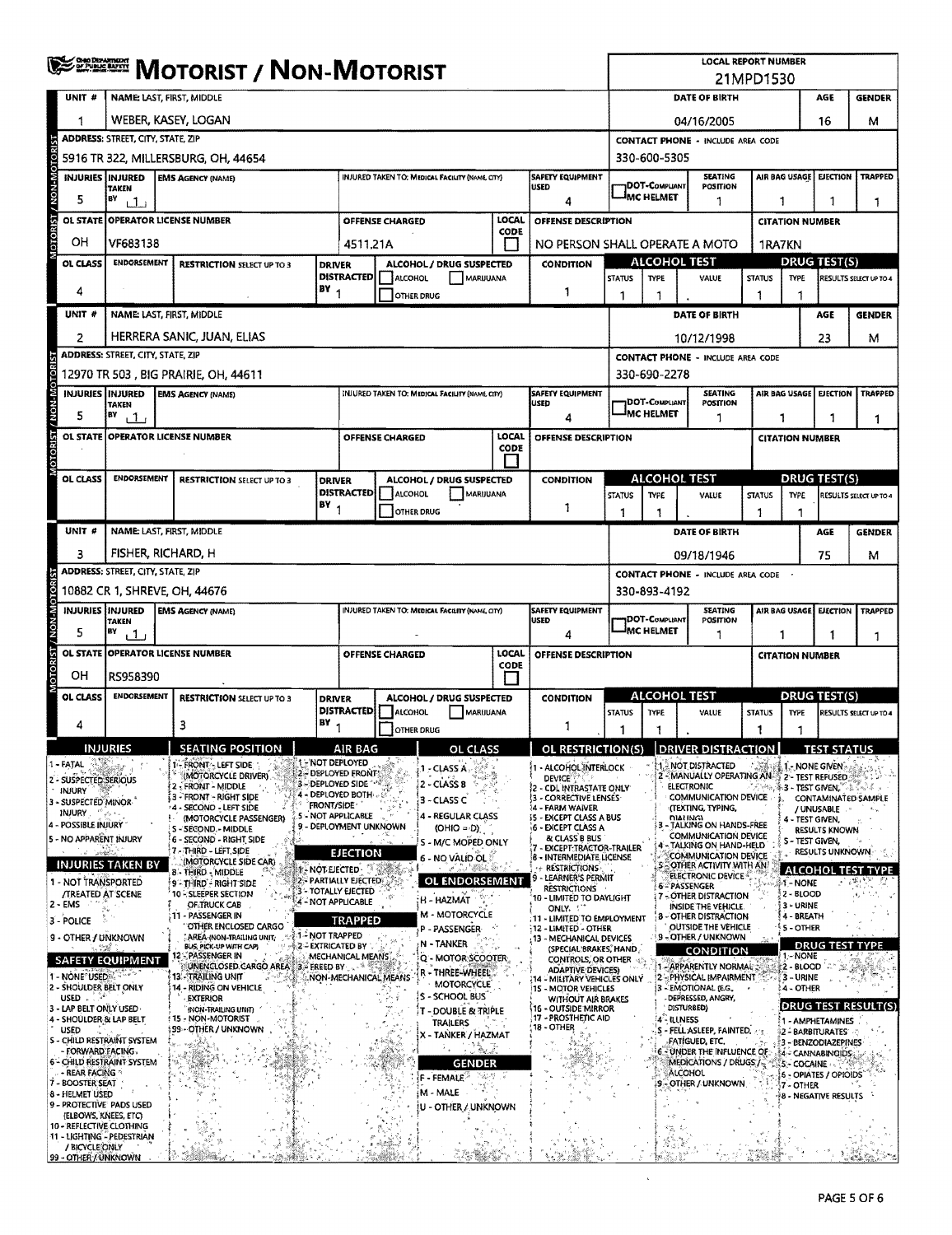|                                                                 | <del>≸≊≊™</del> Motorist / Non-Motorist                                                                                |                                                     |                                    |                                       |                                                                                    |                        |                                                 |                       |                                  | <b>LOCAL REPORT NUMBER</b><br>21MPD1530                                            |                                                                                                                               |                                    |                                                                     |                                              |                                                |                                                            |                        |  |
|-----------------------------------------------------------------|------------------------------------------------------------------------------------------------------------------------|-----------------------------------------------------|------------------------------------|---------------------------------------|------------------------------------------------------------------------------------|------------------------|-------------------------------------------------|-----------------------|----------------------------------|------------------------------------------------------------------------------------|-------------------------------------------------------------------------------------------------------------------------------|------------------------------------|---------------------------------------------------------------------|----------------------------------------------|------------------------------------------------|------------------------------------------------------------|------------------------|--|
| UNIT #                                                          | NAME: LAST, FIRST, MIDDLE                                                                                              |                                                     |                                    |                                       |                                                                                    |                        |                                                 |                       |                                  |                                                                                    |                                                                                                                               |                                    | DATE OF BIRTH                                                       |                                              |                                                | AGE                                                        | <b>GENDER</b>          |  |
| 1                                                               | WEBER, KASEY, LOGAN                                                                                                    |                                                     |                                    |                                       |                                                                                    |                        |                                                 |                       |                                  |                                                                                    |                                                                                                                               |                                    | 04/16/2005                                                          |                                              |                                                | 16                                                         | м                      |  |
| U                                                               | <b>ADDRESS: STREET, CITY, STATE, ZIP</b>                                                                               |                                                     |                                    |                                       |                                                                                    |                        |                                                 |                       |                                  |                                                                                    | <b>CONTACT PHONE - INCLUDE AREA CODE</b>                                                                                      |                                    |                                                                     |                                              |                                                |                                                            |                        |  |
|                                                                 | 5916 TR 322, MILLERSBURG, OH, 44654                                                                                    |                                                     |                                    |                                       |                                                                                    |                        |                                                 |                       |                                  |                                                                                    | 330-600-5305                                                                                                                  |                                    |                                                                     |                                              |                                                |                                                            |                        |  |
|                                                                 | <b>INJURIES INJURED</b><br><b>EMS AGENCY (NAME)</b><br>INJURED TAKEN TO: MEDICAL FACILITY (NAME, CITY)<br><b>TAKEN</b> |                                                     |                                    |                                       |                                                                                    |                        |                                                 |                       | <b>SAFETY EQUIPMENT</b><br>lused |                                                                                    | <b>DOT-COMPLIANT</b>                                                                                                          | <b>SEATING</b><br>POSITION         |                                                                     | AIR BAG USAGE                                | EJECTION                                       | <b>TRAPPED</b>                                             |                        |  |
| 5                                                               | BY<br>$\pm$ 1.                                                                                                         |                                                     |                                    |                                       |                                                                                    |                        |                                                 |                       |                                  | 4                                                                                  |                                                                                                                               | <sup>J</sup> MC HELMET             | 1                                                                   |                                              | 1                                              | 1                                                          | 1                      |  |
| MOTORIST / NON-MOTOR<br><b>OL STATE</b>                         |                                                                                                                        | <b>OPERATOR LICENSE NUMBER</b>                      |                                    |                                       |                                                                                    | <b>OFFENSE CHARGED</b> |                                                 |                       | <b>LOCAL</b><br>CODE             | OFFENSE DESCRIPTION                                                                |                                                                                                                               |                                    |                                                                     |                                              | <b>CITATION NUMBER</b>                         |                                                            |                        |  |
| OН                                                              | VF683138                                                                                                               |                                                     |                                    |                                       | 4511.21A                                                                           |                        |                                                 |                       |                                  | NO PERSON SHALL OPERATE A MOTO                                                     |                                                                                                                               |                                    |                                                                     |                                              | 1RA7KN                                         |                                                            |                        |  |
| OL CLASS                                                        | <b>ENDORSEMENT</b>                                                                                                     |                                                     | <b>RESTRICTION SELECT UP TO 3</b>  | <b>DRIVER</b>                         | <b>DISTRACTED</b>                                                                  | <b>ALCOHOL</b>         | ALCOHOL / DRUG SUSPECTED                        | MARUUANA              |                                  | <b>CONDITION</b>                                                                   | <b>STATUS</b>                                                                                                                 | <b>TYPE</b>                        | <b>ALCOHOL TEST</b><br>VALUE                                        | DRUG TEST(S)<br><b>STATUS</b><br><b>TYPE</b> |                                                |                                                            | RESULTS SELECT UP TO 4 |  |
| 4                                                               |                                                                                                                        |                                                     |                                    | $BY_1$                                |                                                                                    |                        | <b>OTHER DRUG</b>                               |                       |                                  | 1                                                                                  | 1                                                                                                                             | -1                                 |                                                                     | 1                                            | 1                                              |                                                            |                        |  |
| UNIT #                                                          |                                                                                                                        | <b>NAME: LAST, FIRST, MIDDLE</b>                    |                                    |                                       |                                                                                    |                        |                                                 |                       |                                  |                                                                                    |                                                                                                                               |                                    | DATE OF BIRTH                                                       |                                              |                                                | AGE                                                        | <b>GENDER</b>          |  |
| 2                                                               |                                                                                                                        | HERRERA SANIC, JUAN, ELIAS                          |                                    |                                       |                                                                                    |                        |                                                 |                       |                                  |                                                                                    |                                                                                                                               |                                    | 10/12/1998                                                          |                                              |                                                | 23                                                         | м                      |  |
|                                                                 | <b>ADDRESS: STREET, CITY, STATE, ZIP</b>                                                                               |                                                     |                                    |                                       |                                                                                    |                        |                                                 |                       |                                  |                                                                                    |                                                                                                                               |                                    | <b>CONTACT PHONE - INCLUDE AREA CODE</b>                            |                                              |                                                |                                                            |                        |  |
|                                                                 |                                                                                                                        | 12970 TR 503, BIG PRAIRIE, OH, 44611                |                                    |                                       |                                                                                    |                        |                                                 |                       |                                  |                                                                                    |                                                                                                                               | 330-690-2278                       |                                                                     |                                              |                                                |                                                            |                        |  |
| MOTORIST / NON-MOTORI<br>5                                      | <b>INJURIES INJURED</b><br><b>TAKEN</b><br>BY<br>$\sqrt{1}$                                                            | <b>EMS AGENCY (NAME)</b>                            |                                    |                                       |                                                                                    |                        | INJURED TAKEN TO: MEDICAL FACILITY (NAME, CITY) |                       |                                  | SAFETY EQUIPMENT<br><b>USED</b><br>4                                               |                                                                                                                               | <b>IDOT-COMPLIANT</b><br>MC HELMET | <b>SEATING</b><br>POSITION<br>1                                     | AIR BAG USAGE<br>EJECTION                    |                                                | <b>TRAPPED</b>                                             |                        |  |
| OL STATE                                                        |                                                                                                                        | <b>OPERATOR LICENSE NUMBER</b>                      |                                    |                                       |                                                                                    | OFFENSE CHARGED        |                                                 |                       | LOCAL                            | OFFENSE DESCRIPTION                                                                |                                                                                                                               |                                    |                                                                     |                                              | 1<br><b>CITATION NUMBER</b>                    |                                                            | 1.                     |  |
|                                                                 |                                                                                                                        |                                                     |                                    |                                       |                                                                                    |                        |                                                 |                       | CODE                             |                                                                                    |                                                                                                                               |                                    |                                                                     |                                              |                                                |                                                            |                        |  |
| <b>OL CLASS</b>                                                 | <b>ENDORSEMENT</b>                                                                                                     |                                                     | <b>RESTRICTION SELECT UP TO 3</b>  | <b>DRIVER</b>                         |                                                                                    |                        | ALCOHOL / DRUG SUSPECTED                        |                       |                                  | <b>CONDITION</b>                                                                   |                                                                                                                               |                                    | ALCOHOL TEST                                                        |                                              |                                                | <b>DRUG TEST(S)</b>                                        |                        |  |
|                                                                 |                                                                                                                        |                                                     |                                    | $18Y_1$                               | <b>DISTRACTED</b>                                                                  | <b>ALCOHOL</b>         | OTHER DRUG                                      | MARUUANA              |                                  | 1                                                                                  | <b>STATUS</b>                                                                                                                 | <b>TYPE</b>                        | VALUE                                                               | <b>STATUS</b>                                | <b>TYPE</b>                                    |                                                            | RESULTS SELECT UP TO 4 |  |
| UNIT #                                                          |                                                                                                                        | NAME: LAST, FIRST, MIDDLE                           |                                    |                                       |                                                                                    |                        |                                                 |                       |                                  |                                                                                    | 1                                                                                                                             |                                    | <b>DATE OF BIRTH</b>                                                | -1                                           | 1                                              | <b>AGE</b>                                                 | <b>GENDER</b>          |  |
| з                                                               |                                                                                                                        | FISHER, RICHARD, H                                  |                                    |                                       |                                                                                    |                        |                                                 |                       |                                  | 09/18/1946                                                                         |                                                                                                                               |                                    |                                                                     |                                              | 75                                             | м                                                          |                        |  |
|                                                                 | <b>ADDRESS: STREET, CITY, STATE, ZIP</b>                                                                               |                                                     |                                    |                                       |                                                                                    |                        |                                                 |                       |                                  |                                                                                    |                                                                                                                               |                                    | <b>CONTACT PHONE - INCLUDE AREA CODE</b>                            |                                              |                                                |                                                            |                        |  |
|                                                                 |                                                                                                                        | 10882 CR 1, SHREVE, OH, 44676                       |                                    |                                       |                                                                                    |                        |                                                 |                       |                                  |                                                                                    |                                                                                                                               | 330-893-4192                       |                                                                     |                                              |                                                |                                                            |                        |  |
| MOTORIST / NON-MOTORIST<br><b>INJURIES INJURED</b>              | <b>TAKEN</b>                                                                                                           | <b>EMS AGENCY (NAME)</b>                            |                                    |                                       |                                                                                    |                        | INJURED TAKEN TO: MEDICAL FACILITY (NAME, CITY) |                       |                                  | <b>SAFETY EQUIPMENT</b><br><b>USED</b>                                             |                                                                                                                               | <b>DOT-COMPLIANT</b>               | <b>SEATING</b><br>POSITION                                          |                                              | <b>AIR BAG USAGE</b>                           | <b>EJECTION</b>                                            | <b>TRAPPED</b>         |  |
| 5                                                               | BY<br>11                                                                                                               |                                                     |                                    |                                       |                                                                                    |                        |                                                 |                       |                                  | 4                                                                                  | MC HELMET<br>1<br>1                                                                                                           |                                    |                                                                     |                                              | 1                                              | 1                                                          |                        |  |
| <b>OL STATE</b>                                                 |                                                                                                                        | <b>OPERATOR LICENSE NUMBER</b>                      |                                    |                                       |                                                                                    | <b>OFFENSE CHARGED</b> |                                                 |                       | LOCAL<br>CODE                    | <b>OFFENSE DESCRIPTION</b>                                                         |                                                                                                                               |                                    |                                                                     |                                              | <b>CITATION NUMBER</b>                         |                                                            |                        |  |
| OН<br>OL CLASS                                                  | RS958390<br><b>ENDORSEMENT</b>                                                                                         |                                                     | <b>RESTRICTION SELECT UP TO 3</b>  |                                       |                                                                                    |                        |                                                 |                       |                                  |                                                                                    |                                                                                                                               |                                    | <b>ALCOHOL TEST</b>                                                 |                                              | <b>DRUG TEST(S)</b>                            |                                                            |                        |  |
|                                                                 |                                                                                                                        |                                                     |                                    | <b>DRIVER</b>                         | <b>DISTRACTED</b>                                                                  | ALCOHOL                | ALCOHOL / DRUG SUSPECTED                        | MARIJUANA             |                                  | <b>CONDITION</b><br><b>STATUS</b><br>TYPE                                          |                                                                                                                               |                                    | VALUE                                                               | <b>STATUS</b>                                | <b>TYPE</b>                                    |                                                            | RESULTS SELECT UP TO 4 |  |
| 4                                                               |                                                                                                                        | 3                                                   |                                    | BY                                    |                                                                                    |                        | <b>OTHER DRUG</b>                               |                       |                                  | 1                                                                                  | 1                                                                                                                             | 1                                  |                                                                     | 1                                            | 1                                              |                                                            |                        |  |
| 1 - FATAL                                                       | <b>INJURIES</b>                                                                                                        | 1 - FRONT - LEFT SIDE                               | <b>SEATING POSITION</b>            |                                       | AIR RAG<br><b>1 NOT DEPLOYED</b>                                                   |                        |                                                 | OL CLASS              |                                  | OL RESTRICTION(S) DRIVER DISTRACTION                                               |                                                                                                                               |                                    |                                                                     |                                              |                                                | <b>TEST STATUS</b>                                         |                        |  |
| 2 - SUSPECTED SERIOUS                                           |                                                                                                                        | (MOTORCYCLE DRIVER)<br>2 - FRONT - MIDDLE           |                                    |                                       | 2 - DEPLOYED FRONT<br>3 - DEPLOYED SIDE 14%                                        |                        | I - CLASS A<br>2 - CLASS 8                      |                       |                                  | 1 - ALCOHOL INTERLOCK<br><b>DEVICE</b><br>2 - CDL INTRASTATE ONLY                  |                                                                                                                               |                                    | 1. NOT DISTRACTED<br>2 - MANUALLY OPERATING AN<br><b>ELECTRONIC</b> |                                              |                                                | ी । - NONE GIVEN<br>2 - TEST REFUSED<br>.3 - TEST GIVEN, 1 |                        |  |
| <b>INJURY</b><br>3 - SUSPECTED MINOR                            |                                                                                                                        | 3 - FRONT - RIGHT SIDE<br>- SECOND - LEFT SIDE      |                                    | <b>FRONT/SIDE</b>                     | 4 - DEPLOYED BOTH.                                                                 |                        | 3 - CLASS C                                     |                       |                                  | <b>3 - CORRECTIVE LENSES</b><br>14 - FARM WAIVER                                   |                                                                                                                               |                                    | COMMUNICATION DEVICE<br><b>ITEXTING, TYPING,</b>                    |                                              |                                                |                                                            | CONTAMINATED SAMPLE    |  |
| INJURY $\cdots \rightarrow \cdots$<br>4 - POSSIBLE INJURY       |                                                                                                                        | S - SECOND. - MIDDLE                                | (MOTORCYCLE PASSENGER)             |                                       | 5 - NOT APPLICABLE<br>9 - DEPLOYMENT UNKNOWN                                       |                        | <b>4 - REGULAR CLASS</b><br>$(OHO = D)$         |                       |                                  | <b>15 - EXCEPT CLASS A BUS</b><br>6 - EXCEPT CLASS A                               |                                                                                                                               |                                    | <b>FILLE INIGE</b><br>- TALKING ON HANDS-FREE                       |                                              | / UNUSABLE<br>4 - TEST GIVEN,<br>RESULTS KNOWN |                                                            |                        |  |
| 5 - NO APPARENT INJURY<br>wikk                                  |                                                                                                                        | 6 - SECOND - RIGHT SIDE<br>17 - THIRD - LEFT SIDE   |                                    |                                       | & CLASS B BUS<br>S - M/C MOPED ONLY<br>- EXCEPT:TRACTOR-TRAILER<br><b>EJECTION</b> |                        |                                                 |                       |                                  |                                                                                    | COMMUNICATION DEVICE<br>S - TEST GIVEN,<br>4 - TALKING ON HAND-HELD<br><b>RESULTS UNKNOWN</b><br><b>SCOMMUNICATION DEVICE</b> |                                    |                                                                     |                                              |                                                |                                                            |                        |  |
| <b>INJURIES TAKEN BY</b>                                        |                                                                                                                        | (MOTORCYCLE SIDE CAR)<br>8 - Third - Middle         |                                    | 1 - NOT EJECTED -                     |                                                                                    |                        | 6 - NO VALID OL                                 |                       |                                  | <b>8 - INTERMEDIATE LICENSE</b><br><b>RESTRICTIONS:</b><br>- LEARNER'S PERMIT<br>9 |                                                                                                                               |                                    | 5 - OTHER ACTIVITY WITH AN<br>ELECTRONIC DEVICE                     |                                              |                                                |                                                            | ALCOHOL TEST TYPE      |  |
| 1 - NOT TRANSPORTED<br><b>/TREATED AT SCENE</b>                 |                                                                                                                        | 9 - THIRD - RIGHT SIDE<br>10 - SLEEPER SECTION      |                                    |                                       | 2 - PARTIALLY EJECTED<br>3 - TOTALLY EJECTED<br>4 - NOT APPLICABLE                 |                        | <b>OL ENDORSEMENT</b><br>H - HAZMAT             |                       |                                  | <b>RESTRICTIONS</b><br><b>10 - LIMITED TO DAYLIGHT</b>                             |                                                                                                                               |                                    | 6 - PASSENGER<br>7 - OTHER DISTRACTION                              |                                              | ⊱t – NONE<br>12 - BLOOD                        |                                                            |                        |  |
| $2 - EMS$<br>3 - POLICE                                         | Αù.                                                                                                                    | OF TRUCK CAB<br>11 - PASSENGER IN                   |                                    |                                       | <b>TRAPPED</b>                                                                     |                        | M - MOTORCYCLE                                  |                       |                                  | ONLY.<br>11 - LIMITED TO EMPLOYMENT                                                |                                                                                                                               |                                    | INSIDE THE VEHICLE.<br><b>8 - OTHER DISTRACTION</b>                 |                                              | 3 - URINE<br>4 - BREATH                        |                                                            |                        |  |
| 9 - OTHER / UNKNOWN                                             |                                                                                                                        | AREA (NON-TRAILING UNIT,<br>BUS, PICK-UP WITH CAP)  | OTHER ENCLOSED CARGO               | ∄1-`NOT TRAPPED<br>ᢤ2 - EXTRICATED BY |                                                                                    |                        | P - PASSENGER<br>N - TANKER                     |                       |                                  | 12 - LIMITED - OTHER<br>13 - MECHANICAL DEVICES                                    |                                                                                                                               |                                    | OUTSIDE THE VEHICLE<br>9 - OTHER / UNKNOWN                          |                                              |                                                | 5 - OTHER<br><b>DRUG TEST TYPE</b>                         |                        |  |
| . 198<br><b>SAFETY EQUIPMENT</b>                                |                                                                                                                        | 12 - PASSENGER IN                                   | UNENCLOSED CARGO AREA 3 - FREED BY |                                       | MECHANICAL MEANS                                                                   |                        | Q - MOTOR SCOOTER                               |                       |                                  | (SPECIAL BRAKES, HAND<br><b>CONTROLS, OR OTHER 48</b>                              |                                                                                                                               |                                    | CONDITION<br>1 - APPARENTLY NORMAL                                  |                                              | 1 - NONE<br>2 - BLOOD                          |                                                            |                        |  |
| 1 - NONE USED<br>2 - SHOULDER BELT ONLY                         |                                                                                                                        | <b>13 - TRAILING UNIT</b><br>14 - RIDING ON VEHICLE |                                    |                                       |                                                                                    | NON-MECHANICAL MEANS   | R - THREE-WHEEL<br><b>MOTORCYCLE</b>            |                       |                                  | <b>ADAPTIVE DEVICES)</b><br>14 - MILITARY VEHICLES ONLY<br>15 - MOTOR VEHICLES     |                                                                                                                               |                                    | 2 - PHYSICAL IMPAIRMENT<br>3 - EMOTIONAL (E.G.                      |                                              | 3 - URINE<br>14 - OTHER                        |                                                            |                        |  |
| USED .<br>3 - LAP BELT ONLY USED-                               |                                                                                                                        | <b>EXTERIOR</b><br>(NON-TRAILING UNIT)              |                                    |                                       |                                                                                    |                        | S - SCHOOL BUS<br>T - DOUBLE & TRIPLE           |                       |                                  | WITHOUT AIR BRAKES<br>16 - OUTSIDE MIRROR                                          |                                                                                                                               |                                    | -DEPRESSED, ANGRY,<br>DISTURBED)                                    |                                              |                                                |                                                            | DRUG TEST RESULT(S)    |  |
| 4 - SHOULDER & LAP BELT<br>used                                 |                                                                                                                        | <b>15 - NON-MOTORIST</b><br>i 99⊶OTHER / UNKNOWN    |                                    |                                       |                                                                                    |                        | TRAILERS<br>X - TANKER / HAZMAT                 |                       |                                  | 17 - PROSTHETIC AID<br>18 - OTHER                                                  |                                                                                                                               |                                    | 4 - ILLNESS<br>S - FELL ASLEEP, FAINTED, and                        |                                              |                                                | 1 - AMPHETAMINES<br>2 - BARBITURATES                       |                        |  |
| <b>S - CHILD RESTRAINT SYSTEM</b><br>- FORWARD FACING.          |                                                                                                                        |                                                     |                                    |                                       |                                                                                    |                        |                                                 | 1 Daeu                |                                  |                                                                                    |                                                                                                                               |                                    | FATIGUED, ETC.<br>6. UNDER THE INFLUENCE OF:                        |                                              |                                                | 3 - BENZODIAZEPINES<br>4 - CANNABINOIDS,                   |                        |  |
| <b>6 - CHILD RESTRAINT SYSTEM</b><br><b>REAR FACING *</b>       |                                                                                                                        |                                                     |                                    |                                       |                                                                                    |                        | F - FEMALE                                      | <b>GENDER</b><br>수송성. |                                  |                                                                                    |                                                                                                                               |                                    | MEDICATIONS / DRUGS /<br>ALCOHOL                                    |                                              |                                                | 5 - COCAINE<br>6 - OPIATES / OPIOIDS                       |                        |  |
| 7 - BOOSTER SEAT<br>8 - HELMET USED<br>9 - PROTECTIVE PADS USED |                                                                                                                        |                                                     |                                    |                                       |                                                                                    |                        | M - MALE                                        |                       |                                  |                                                                                    |                                                                                                                               |                                    | 9 - OTHER / UNKNOWN                                                 |                                              | 7 - OTHER                                      | 8 - NEGATIVE RESULTS                                       |                        |  |
| (ELBOWS, KNEES, ETC)<br>10 - REFLECTIVE CLOTHING                |                                                                                                                        |                                                     |                                    |                                       |                                                                                    |                        | u - Other / Unknown                             |                       |                                  |                                                                                    |                                                                                                                               |                                    |                                                                     |                                              |                                                |                                                            |                        |  |
| 11 - LIGHTING - PEDESTRIAN<br>/ BICYCLE ONLY                    |                                                                                                                        |                                                     |                                    |                                       |                                                                                    |                        |                                                 |                       |                                  |                                                                                    |                                                                                                                               | 路                                  |                                                                     |                                              |                                                |                                                            |                        |  |
| 99 - OTHER FUNKNOWN                                             |                                                                                                                        |                                                     |                                    |                                       |                                                                                    |                        |                                                 |                       |                                  |                                                                                    |                                                                                                                               |                                    |                                                                     |                                              |                                                |                                                            |                        |  |

 $\hat{\mathbf{v}}$